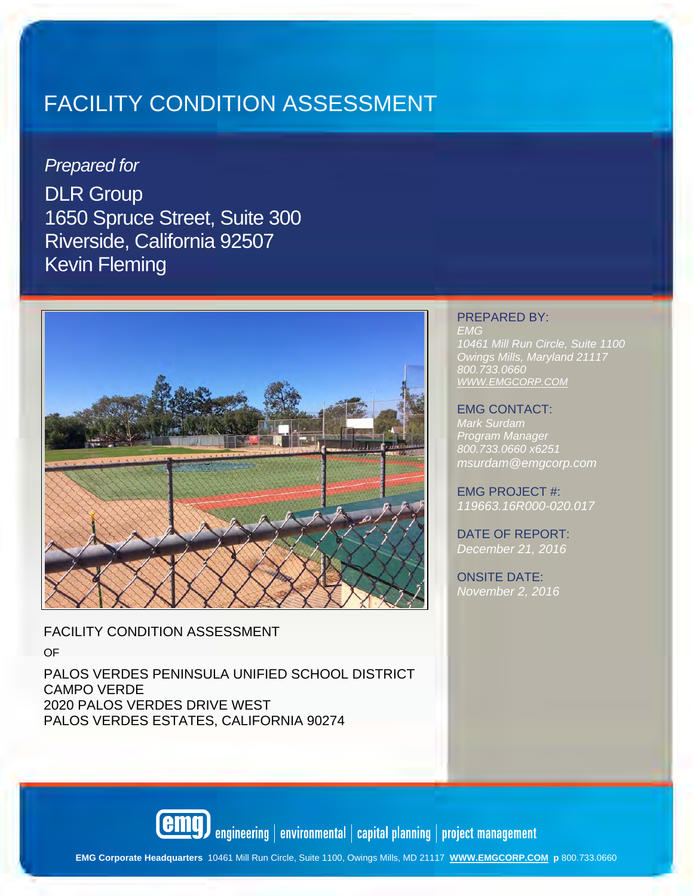## *Prepared for*

DLR Group 1650 Spruce Street, Suite 300 Riverside, California 92507 Kevin Fleming



FACILITY CONDITION ASSESSMENT

OF

PALOS VERDES PENINSULA UNIFIED SCHOOL DISTRICT CAMPO VERDE 2020 PALOS VERDES DRIVE WEST PALOS VERDES ESTATES, CALIFORNIA 90274

#### PREPARED BY: *EMG 10461 Mill Run Circle, Suite 1100 Owings Mills, Maryland 21117 800.733.0660 WWW.EMGCORP.COM*

#### EMG CONTACT:

*Mark Surdam Program Manage 800.733.0660 x6251 msurdam@emgcorp.com* 

EMG PROJECT #: *119663.16R000-020.017* 

DATE OF REPORT: *December 21, 2016* 

ONSITE DATE: *November 2, 2016* 

**emq** engineering | environmental | capital planning | project management

**EMG Corporate Headquarters** 10461 Mill Run Circle, Suite 1100, Owings Mills, MD 21117 **WWW.EMGCORP.COM p** 800.733.0660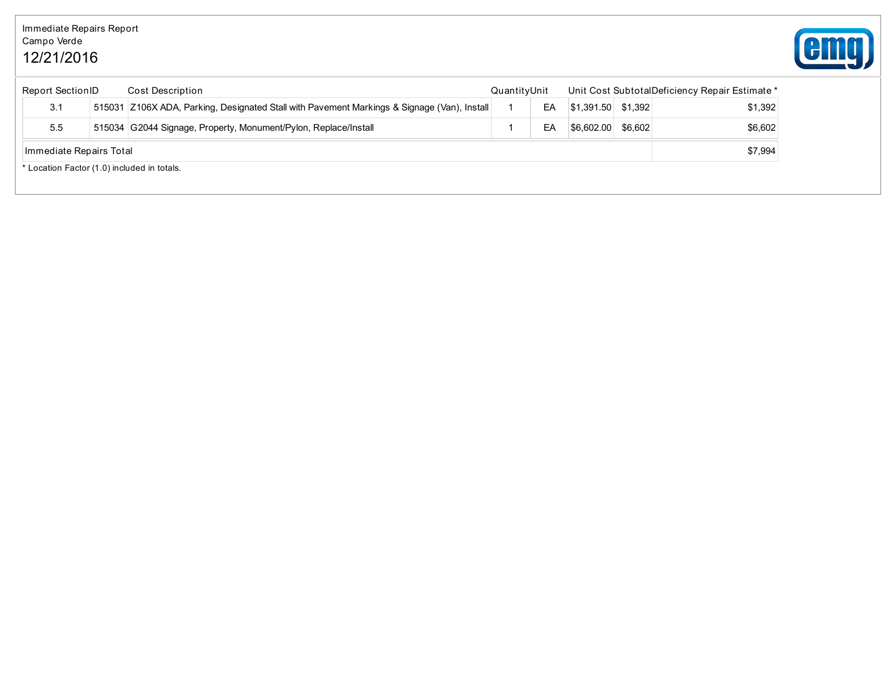## Immediate Repairs Report Campo Verde 12/21/2016



| <b>Report SectionID</b> |                                                                                             | <b>Cost Description</b> | QuantityUnit |  | Unit Cost SubtotalDeficiency Repair Estimate * |         |         |  |
|-------------------------|---------------------------------------------------------------------------------------------|-------------------------|--------------|--|------------------------------------------------|---------|---------|--|
| 3.1                     | 515031 Z106X ADA, Parking, Designated Stall with Pavement Markings & Signage (Van), Install |                         |              |  | $ $1.391.50$ $$1.392$                          |         | \$1.392 |  |
| 5.5                     | 515034 G2044 Signage, Property, Monument/Pylon, Replace/Install                             |                         |              |  | \$6,602.00                                     | \$6.602 | \$6,602 |  |
|                         | \$7,994<br>Immediate Repairs Total                                                          |                         |              |  |                                                |         |         |  |
|                         | * Location Factor (1.0) included in totals.                                                 |                         |              |  |                                                |         |         |  |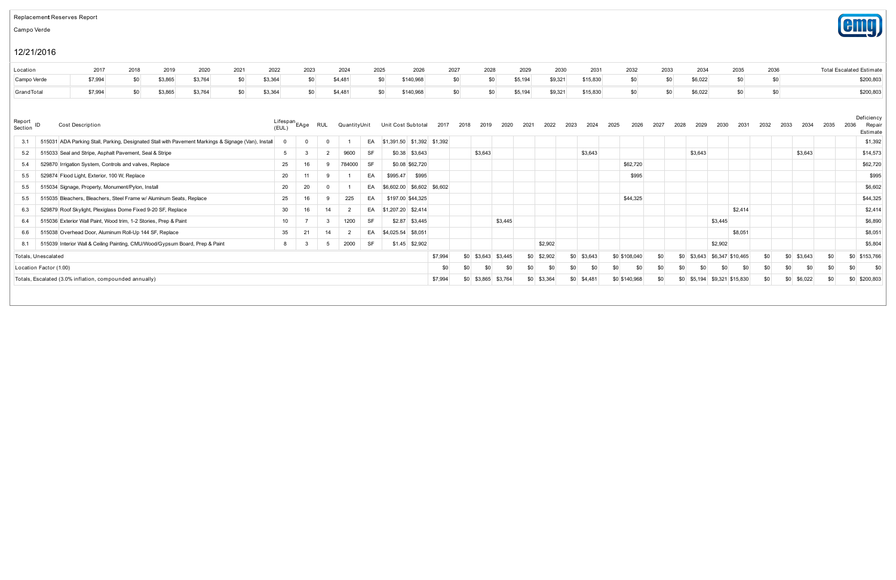#### Replacement Reserves Report

Campo Verde

## 12/21/2016

| Location    |  | 2017 2018 2019 2020 |  |  |  | 2021    2022    2023     2024     2025      2026     2027     2028     2029     2030     2031     2032     2033                |  |  |  |  | 2034 2035 2036 | <b>Total Escalated Estimate</b> |
|-------------|--|---------------------|--|--|--|--------------------------------------------------------------------------------------------------------------------------------|--|--|--|--|----------------|---------------------------------|
| Campo Verde |  |                     |  |  |  | \$7,994 \$0 \$3,865 \$3,764 \$0 \$3,364 \$0 \$4,481 \$0 \$140,968 \$0 \$0 \$5,194 \$9,321 \$15,830 \$0 \$0 \$6,022 \$0 \$0     |  |  |  |  |                | \$200,803                       |
| GrandTotal  |  |                     |  |  |  | \$7,994 \$0 \$3,865 \$3,764 \$0 \$3,364 \$0 \$4,481 \$0 \$140,968 \$0 \$0 \$5,194 \$9,321 \$15,830 \$0 \$0 \$6,022 \$0 \$0 \$0 |  |  |  |  |                | \$200,803                       |

| Report<br>Section      | <b>Cost Description</b>                                                                             | Lifespan.<br>(EUL) | EAge     | RUL | QuantityUnit |           | Unit Cost Subtotal  | 2017                          | 2018 | 2019<br>2020           | 2021 | 2022    | 2024<br>2023   | 2025 | 2026          | 2027<br>2028 | 2029            | 2030<br>2031                | 2032 | 2034<br>2033   | 2035 | 2036 | Deficiency<br>Repa<br>Estimate |
|------------------------|-----------------------------------------------------------------------------------------------------|--------------------|----------|-----|--------------|-----------|---------------------|-------------------------------|------|------------------------|------|---------|----------------|------|---------------|--------------|-----------------|-----------------------------|------|----------------|------|------|--------------------------------|
| 3.1                    | 515031 ADA Parking Stall, Parking, Designated Stall with Pavement Markings & Signage (Van), Install |                    | $\Omega$ |     |              |           |                     | EA \$1,391.50 \$1,392 \$1,392 |      |                        |      |         |                |      |               |              |                 |                             |      |                |      |      | \$1,392                        |
| 5.2                    | 515033 Seal and Stripe, Asphalt Pavement, Seal & Stripe                                             | 5                  |          |     | 9600         | <b>SF</b> |                     | $$0.38$ $$3,643$              |      | \$3,643                |      |         | \$3,643        |      |               |              | \$3,643         |                             |      | \$3,643        |      |      | \$14,573                       |
| 5.4                    | 529870 Irrigation System, Controls and valves, Replace                                              | 25                 |          |     | 784000       | SF        |                     | \$0.08 \$62,720               |      |                        |      |         |                |      | \$62,720      |              |                 |                             |      |                |      |      | \$62,720                       |
| 5.5                    | 529874 Flood Light, Exterior, 100 W, Replace                                                        | 20                 |          |     |              | EA        | \$995.47            | \$995                         |      |                        |      |         |                |      | \$995         |              |                 |                             |      |                |      |      | \$995                          |
| 5.5                    | 515034 Signage, Property, Monument/Pylon, Install                                                   | 20                 | 20       |     |              | EA        |                     | \$6,602.00 \$6,602 \$6,602    |      |                        |      |         |                |      |               |              |                 |                             |      |                |      |      | \$6,602                        |
| 5.5                    | 515035 Bleachers, Bleachers, Steel Frame w/ Aluminum Seats, Replace                                 | 25                 |          |     | 225          | EA        |                     | \$197.00 \$44,325             |      |                        |      |         |                |      | \$44,325      |              |                 |                             |      |                |      |      | \$44,32                        |
| 6.3                    | 529879 Roof Skylight, Plexiglass Dome Fixed 9-20 SF, Replace                                        | 30                 |          | 14  |              | EA        | \$1,207.20 \$2,414  |                               |      |                        |      |         |                |      |               |              |                 | \$2,414                     |      |                |      |      | \$2,414                        |
| 6.4                    | 515036 Exterior Wall Paint, Wood trim, 1-2 Stories, Prep & Paint                                    | 10 <sup>1</sup>    |          |     | 1200         | <b>SF</b> |                     | $$2.87$ $$3,445$              |      | \$3,445                |      |         |                |      |               |              |                 | \$3,445                     |      |                |      |      | \$6,890                        |
| 6.6                    | 515038 Overhead Door, Aluminum Roll-Up 144 SF, Replace                                              | 35                 | 21       | 14  |              | EA        | $$4,025.54$ \$8,051 |                               |      |                        |      |         |                |      |               |              |                 | \$8,051                     |      |                |      |      | \$8,051                        |
| 8.1                    | 515039 Interior Wall & Ceiling Painting, CMU/Wood/Gypsum Board, Prep & Paint                        | 8                  | -3       |     | 2000         | <b>SF</b> |                     | $$1.45$ $$2,902$              |      |                        |      | \$2,902 |                |      |               |              |                 | \$2,902                     |      |                |      |      | \$5,804                        |
| Totals, Unescalated    |                                                                                                     |                    |          |     |              |           |                     | \$7,994                       |      | $$0$ $$3,643$ $$3,445$ | \$0  | \$2,902 | $$0$ $$3,643$  |      | \$0 \$108,040 | \$0          | \$0             | $$3,643$ $$6,347$ $$10,465$ | \$0  | \$3,643<br>\$0 | \$0  |      | \$0 \$153,766                  |
| Location Factor (1.00) |                                                                                                     |                    |          |     |              |           |                     | \$0                           | \$0  | \$0<br>\$0             | \$0  | \$0     | \$0<br>\$0     | \$0  | \$0           | \$C          | \$0             | \$0<br>\$0                  | \$0  | \$0<br>\$0     | \$0  | \$0  | $$^{5$                         |
|                        | Totals, Escalated (3.0% inflation, compounded annually)                                             |                    |          |     |              |           |                     | \$7,994                       | \$0  | \$3,764<br>\$3,865     | \$0  | \$3,364 | \$0<br>\$4,481 |      | \$0 \$140,968 | \$0          | \$5,194<br>\$0. | \$9,321 \$15,830            | \$0  | \$6,022<br>\$0 | \$0  |      | \$0 \$200,803                  |

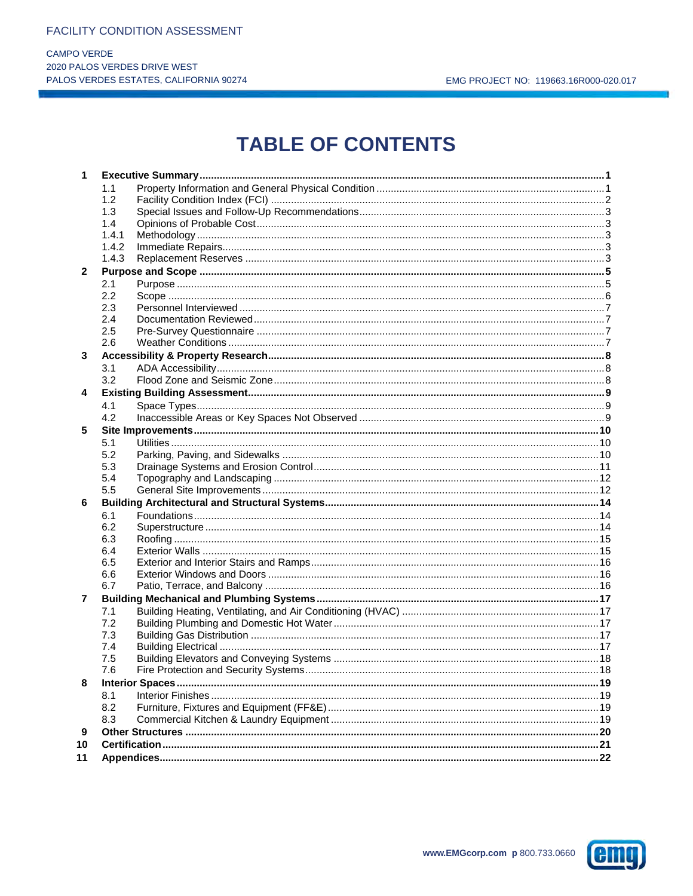**CAMPO VERDE** 2020 PALOS VERDES DRIVE WEST PALOS VERDES ESTATES, CALIFORNIA 90274

# **TABLE OF CONTENTS**

| 1            |       |  |
|--------------|-------|--|
|              | 1.1   |  |
|              | 1.2   |  |
|              | 1.3   |  |
|              | 1.4   |  |
|              | 1.4.1 |  |
|              | 1.4.2 |  |
|              | 1.4.3 |  |
| $\mathbf{2}$ |       |  |
|              | 2.1   |  |
|              | 2.2   |  |
|              | 2.3   |  |
|              | 2.4   |  |
|              | 2.5   |  |
|              | 2.6   |  |
| 3            |       |  |
|              | 3.1   |  |
|              | 3.2   |  |
| 4            |       |  |
|              | 4.1   |  |
|              | 4.2   |  |
| 5            |       |  |
|              | 5.1   |  |
|              | 5.2   |  |
|              | 5.3   |  |
|              | 5.4   |  |
|              | 5.5   |  |
| 6            |       |  |
|              | 6.1   |  |
|              | 6.2   |  |
|              | 6.3   |  |
|              | 6.4   |  |
|              | 6.5   |  |
|              | 6.6   |  |
|              | 6.7   |  |
| 7            |       |  |
|              | 7.1   |  |
|              | 7.2   |  |
|              | 7.3   |  |
|              | 7.4   |  |
|              | 7.5   |  |
|              | 7.6   |  |
| 8            |       |  |
|              | 8.1   |  |
|              | 8.2   |  |
|              | 8.3   |  |
| 9            |       |  |
| 10           |       |  |
| 11           |       |  |
|              |       |  |

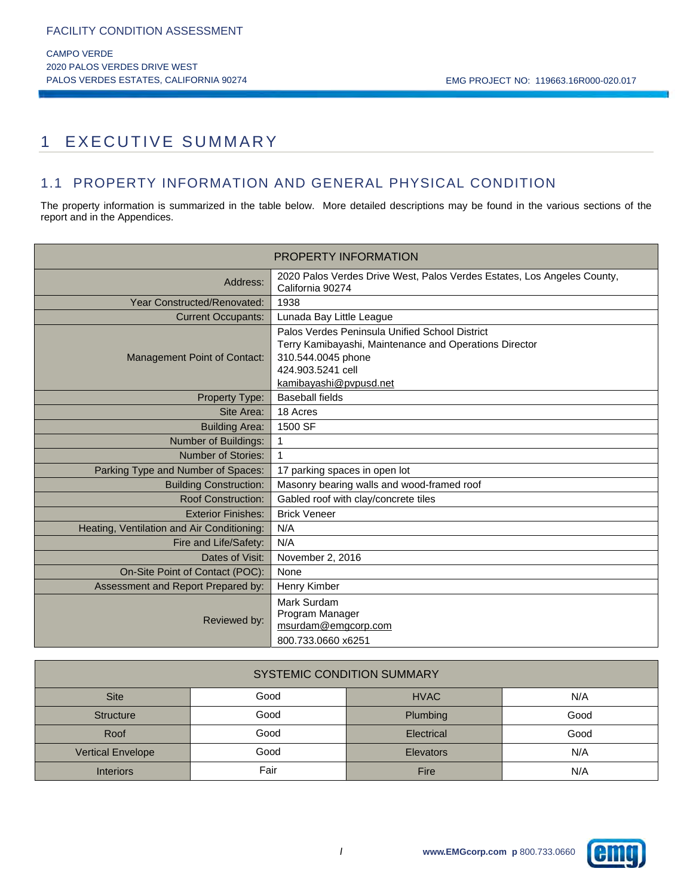## 1 EXECUTIVE SUMMARY

## 1.1 PROPERTY INFORMATION AND GENERAL PHYSICAL CONDITION

The property information is summarized in the table below. More detailed descriptions may be found in the various sections of the report and in the Appendices.

|                                            | <b>PROPERTY INFORMATION</b>                                                                                                                                                   |
|--------------------------------------------|-------------------------------------------------------------------------------------------------------------------------------------------------------------------------------|
| Address:                                   | 2020 Palos Verdes Drive West, Palos Verdes Estates, Los Angeles County,<br>California 90274                                                                                   |
| Year Constructed/Renovated:                | 1938                                                                                                                                                                          |
| <b>Current Occupants:</b>                  | Lunada Bay Little League                                                                                                                                                      |
| Management Point of Contact:               | Palos Verdes Peninsula Unified School District<br>Terry Kamibayashi, Maintenance and Operations Director<br>310.544.0045 phone<br>424.903.5241 cell<br>kamibayashi@pvpusd.net |
| Property Type:                             | <b>Baseball fields</b>                                                                                                                                                        |
| Site Area:                                 | 18 Acres                                                                                                                                                                      |
| <b>Building Area:</b>                      | 1500 SF                                                                                                                                                                       |
| Number of Buildings:                       | 1                                                                                                                                                                             |
| Number of Stories:                         |                                                                                                                                                                               |
| Parking Type and Number of Spaces:         | 17 parking spaces in open lot                                                                                                                                                 |
| <b>Building Construction:</b>              | Masonry bearing walls and wood-framed roof                                                                                                                                    |
| <b>Roof Construction:</b>                  | Gabled roof with clay/concrete tiles                                                                                                                                          |
| <b>Exterior Finishes:</b>                  | <b>Brick Veneer</b>                                                                                                                                                           |
| Heating, Ventilation and Air Conditioning: | N/A                                                                                                                                                                           |
| Fire and Life/Safety:                      | N/A                                                                                                                                                                           |
| Dates of Visit:                            | November 2, 2016                                                                                                                                                              |
| On-Site Point of Contact (POC):            | None                                                                                                                                                                          |
| Assessment and Report Prepared by:         | Henry Kimber                                                                                                                                                                  |
| Reviewed by:                               | Mark Surdam<br>Program Manager<br>msurdam@emgcorp.com<br>800.733.0660 x6251                                                                                                   |

| <b>SYSTEMIC CONDITION SUMMARY</b> |      |                  |      |  |  |  |  |  |
|-----------------------------------|------|------------------|------|--|--|--|--|--|
| <b>Site</b>                       | Good | <b>HVAC</b>      | N/A  |  |  |  |  |  |
| <b>Structure</b>                  | Good | <b>Plumbing</b>  | Good |  |  |  |  |  |
| Roof                              | Good | Electrical       | Good |  |  |  |  |  |
| <b>Vertical Envelope</b>          | Good | <b>Elevators</b> | N/A  |  |  |  |  |  |
| <b>Interiors</b>                  | Fair | Fire             | N/A  |  |  |  |  |  |

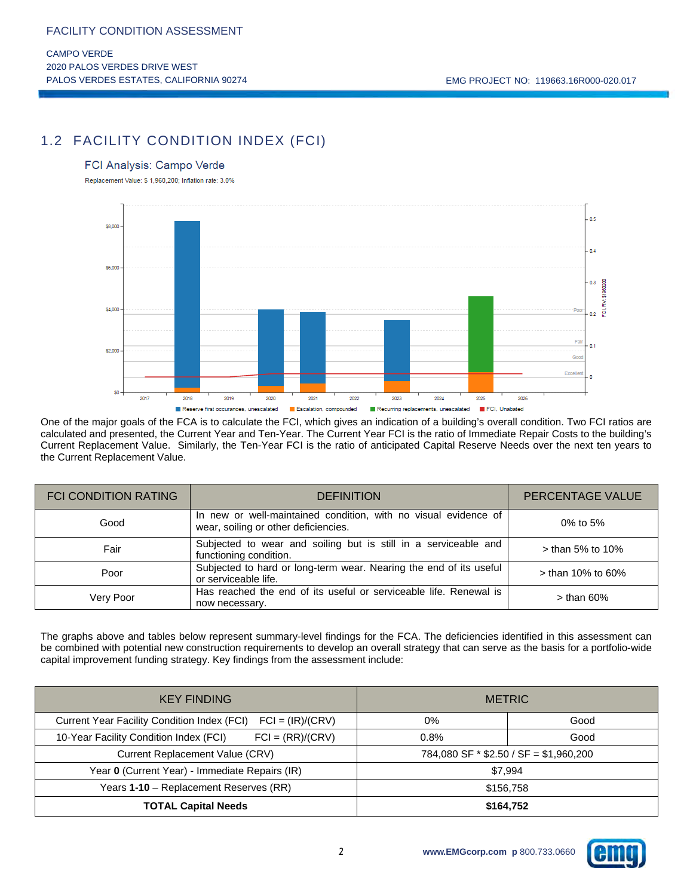## 1.2 FACILITY CONDITION INDEX (FCI)

#### FCI Analysis: Campo Verde

Replacement Value: \$ 1,960,200; Inflation rate: 3.0%



One of the major goals of the FCA is to calculate the FCI, which gives an indication of a building's overall condition. Two FCI ratios are calculated and presented, the Current Year and Ten-Year. The Current Year FCI is the ratio of Immediate Repair Costs to the building's Current Replacement Value. Similarly, the Ten-Year FCI is the ratio of anticipated Capital Reserve Needs over the next ten years to the Current Replacement Value.

| <b>FCI CONDITION RATING</b> | <b>DEFINITION</b>                                                                                       | PERCENTAGE VALUE    |
|-----------------------------|---------------------------------------------------------------------------------------------------------|---------------------|
| Good                        | In new or well-maintained condition, with no visual evidence of<br>wear, soiling or other deficiencies. | 0% to 5%            |
| Fair                        | Subjected to wear and soiling but is still in a serviceable and<br>functioning condition.               | $>$ than 5% to 10%  |
| Poor                        | Subjected to hard or long-term wear. Nearing the end of its useful<br>or serviceable life.              | $>$ than 10% to 60% |
| Very Poor                   | Has reached the end of its useful or serviceable life. Renewal is<br>now necessary.                     | $>$ than 60%        |

The graphs above and tables below represent summary-level findings for the FCA. The deficiencies identified in this assessment can be combined with potential new construction requirements to develop an overall strategy that can serve as the basis for a portfolio-wide capital improvement funding strategy. Key findings from the assessment include:

| <b>KEY FINDING</b>                                                | <b>METRIC</b>                            |      |  |  |
|-------------------------------------------------------------------|------------------------------------------|------|--|--|
| Current Year Facility Condition Index (FCI)<br>$FCI = (IR)/(CRV)$ | 0%                                       | Good |  |  |
| $FCI = (RR)/(CRV)$<br>10-Year Facility Condition Index (FCI)      | 0.8%                                     | Good |  |  |
| Current Replacement Value (CRV)                                   | 784,080 SF $*$ \$2.50 / SF = \$1,960,200 |      |  |  |
| Year 0 (Current Year) - Immediate Repairs (IR)                    | \$7.994                                  |      |  |  |
| Years 1-10 - Replacement Reserves (RR)                            | \$156.758                                |      |  |  |
| <b>TOTAL Capital Needs</b>                                        | \$164,752                                |      |  |  |

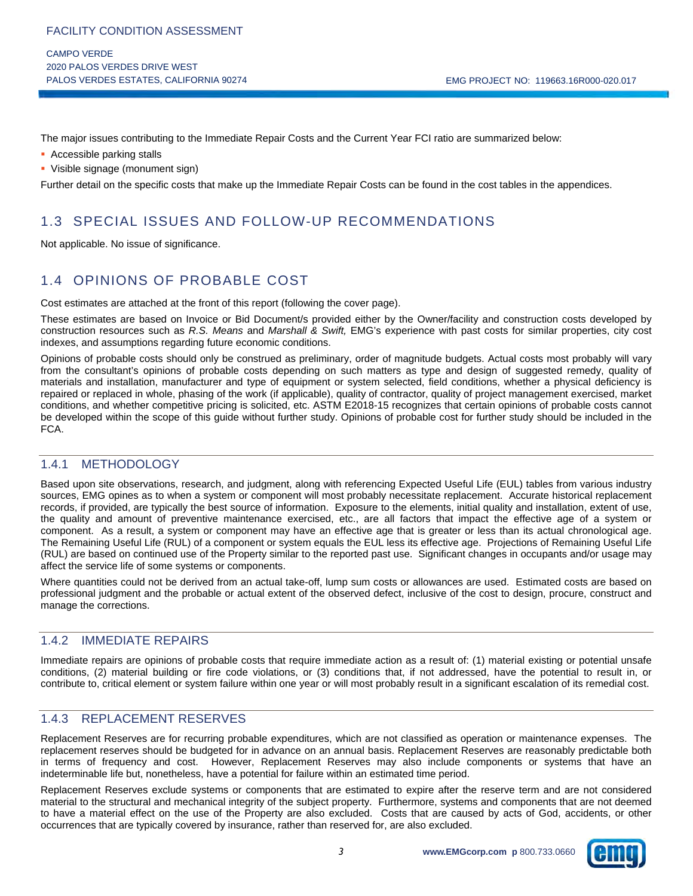CAMPO VERDE 2020 PALOS VERDES DRIVE WEST PALOS VERDES ESTATES, CALIFORNIA 90274 CHARLET CONSUMING THE MAG PROJECT NO: 119663.16R000-020.017

The major issues contributing to the Immediate Repair Costs and the Current Year FCI ratio are summarized below:

- **Accessible parking stalls**
- Visible signage (monument sign)

Further detail on the specific costs that make up the Immediate Repair Costs can be found in the cost tables in the appendices.

## 1.3 SPECIAL ISSUES AND FOLLOW-UP RECOMMENDATIONS

Not applicable. No issue of significance.

## 1.4 OPINIONS OF PROBABLE COST

Cost estimates are attached at the front of this report (following the cover page).

These estimates are based on Invoice or Bid Document/s provided either by the Owner/facility and construction costs developed by construction resources such as *R.S. Means* and *Marshall & Swift,* EMG's experience with past costs for similar properties, city cost indexes, and assumptions regarding future economic conditions.

Opinions of probable costs should only be construed as preliminary, order of magnitude budgets. Actual costs most probably will vary from the consultant's opinions of probable costs depending on such matters as type and design of suggested remedy, quality of materials and installation, manufacturer and type of equipment or system selected, field conditions, whether a physical deficiency is repaired or replaced in whole, phasing of the work (if applicable), quality of contractor, quality of project management exercised, market conditions, and whether competitive pricing is solicited, etc. ASTM E2018-15 recognizes that certain opinions of probable costs cannot be developed within the scope of this guide without further study. Opinions of probable cost for further study should be included in the FCA.

### 1.4.1 METHODOLOGY

Based upon site observations, research, and judgment, along with referencing Expected Useful Life (EUL) tables from various industry sources, EMG opines as to when a system or component will most probably necessitate replacement. Accurate historical replacement records, if provided, are typically the best source of information. Exposure to the elements, initial quality and installation, extent of use, the quality and amount of preventive maintenance exercised, etc., are all factors that impact the effective age of a system or component. As a result, a system or component may have an effective age that is greater or less than its actual chronological age. The Remaining Useful Life (RUL) of a component or system equals the EUL less its effective age. Projections of Remaining Useful Life (RUL) are based on continued use of the Property similar to the reported past use. Significant changes in occupants and/or usage may affect the service life of some systems or components.

Where quantities could not be derived from an actual take-off, lump sum costs or allowances are used. Estimated costs are based on professional judgment and the probable or actual extent of the observed defect, inclusive of the cost to design, procure, construct and manage the corrections.

### 1.4.2 IMMEDIATE REPAIRS

Immediate repairs are opinions of probable costs that require immediate action as a result of: (1) material existing or potential unsafe conditions, (2) material building or fire code violations, or (3) conditions that, if not addressed, have the potential to result in, or contribute to, critical element or system failure within one year or will most probably result in a significant escalation of its remedial cost.

### 1.4.3 REPLACEMENT RESERVES

Replacement Reserves are for recurring probable expenditures, which are not classified as operation or maintenance expenses. The replacement reserves should be budgeted for in advance on an annual basis. Replacement Reserves are reasonably predictable both in terms of frequency and cost. However, Replacement Reserves may also include components or systems that have an indeterminable life but, nonetheless, have a potential for failure within an estimated time period.

Replacement Reserves exclude systems or components that are estimated to expire after the reserve term and are not considered material to the structural and mechanical integrity of the subject property. Furthermore, systems and components that are not deemed to have a material effect on the use of the Property are also excluded. Costs that are caused by acts of God, accidents, or other occurrences that are typically covered by insurance, rather than reserved for, are also excluded.

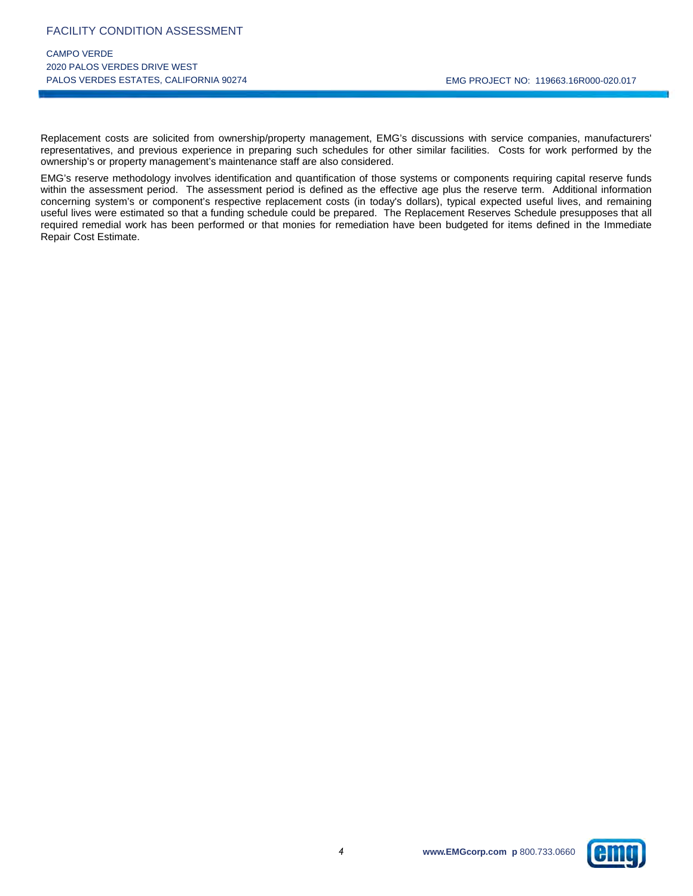Replacement costs are solicited from ownership/property management, EMG's discussions with service companies, manufacturers' representatives, and previous experience in preparing such schedules for other similar facilities. Costs for work performed by the ownership's or property management's maintenance staff are also considered.

EMG's reserve methodology involves identification and quantification of those systems or components requiring capital reserve funds within the assessment period. The assessment period is defined as the effective age plus the reserve term. Additional information concerning system's or component's respective replacement costs (in today's dollars), typical expected useful lives, and remaining useful lives were estimated so that a funding schedule could be prepared. The Replacement Reserves Schedule presupposes that all required remedial work has been performed or that monies for remediation have been budgeted for items defined in the Immediate Repair Cost Estimate.

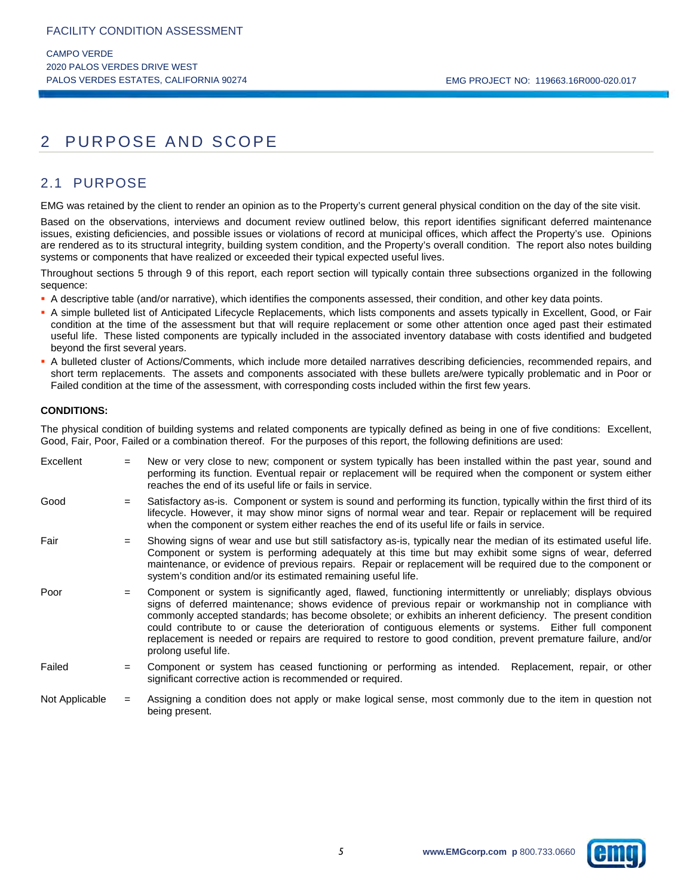## 2 PURPOSE AND SCOPE

## 2.1 PURPOSE

EMG was retained by the client to render an opinion as to the Property's current general physical condition on the day of the site visit.

Based on the observations, interviews and document review outlined below, this report identifies significant deferred maintenance issues, existing deficiencies, and possible issues or violations of record at municipal offices, which affect the Property's use. Opinions are rendered as to its structural integrity, building system condition, and the Property's overall condition. The report also notes building systems or components that have realized or exceeded their typical expected useful lives.

Throughout sections 5 through 9 of this report, each report section will typically contain three subsections organized in the following sequence:

- A descriptive table (and/or narrative), which identifies the components assessed, their condition, and other key data points.
- A simple bulleted list of Anticipated Lifecycle Replacements, which lists components and assets typically in Excellent, Good, or Fair condition at the time of the assessment but that will require replacement or some other attention once aged past their estimated useful life. These listed components are typically included in the associated inventory database with costs identified and budgeted beyond the first several years.
- A bulleted cluster of Actions/Comments, which include more detailed narratives describing deficiencies, recommended repairs, and short term replacements. The assets and components associated with these bullets are/were typically problematic and in Poor or Failed condition at the time of the assessment, with corresponding costs included within the first few years.

#### **CONDITIONS:**

The physical condition of building systems and related components are typically defined as being in one of five conditions: Excellent, Good, Fair, Poor, Failed or a combination thereof. For the purposes of this report, the following definitions are used:

Excellent  $=$  New or very close to new; component or system typically has been installed within the past year, sound and performing its function. Eventual repair or replacement will be required when the component or system either reaches the end of its useful life or fails in service. Good  $=$  Satisfactory as-is. Component or system is sound and performing its function, typically within the first third of its lifecycle. However, it may show minor signs of normal wear and tear. Repair or replacement will be required when the component or system either reaches the end of its useful life or fails in service. Fair  $=$  Showing signs of wear and use but still satisfactory as-is, typically near the median of its estimated useful life. Component or system is performing adequately at this time but may exhibit some signs of wear, deferred maintenance, or evidence of previous repairs. Repair or replacement will be required due to the component or system's condition and/or its estimated remaining useful life. Poor = Component or system is significantly aged, flawed, functioning intermittently or unreliably; displays obvious signs of deferred maintenance; shows evidence of previous repair or workmanship not in compliance with commonly accepted standards; has become obsolete; or exhibits an inherent deficiency. The present condition could contribute to or cause the deterioration of contiguous elements or systems. Either full component replacement is needed or repairs are required to restore to good condition, prevent premature failure, and/or prolong useful life. Failed = Component or system has ceased functioning or performing as intended. Replacement, repair, or other significant corrective action is recommended or required. Not Applicable = Assigning a condition does not apply or make logical sense, most commonly due to the item in question not being present.

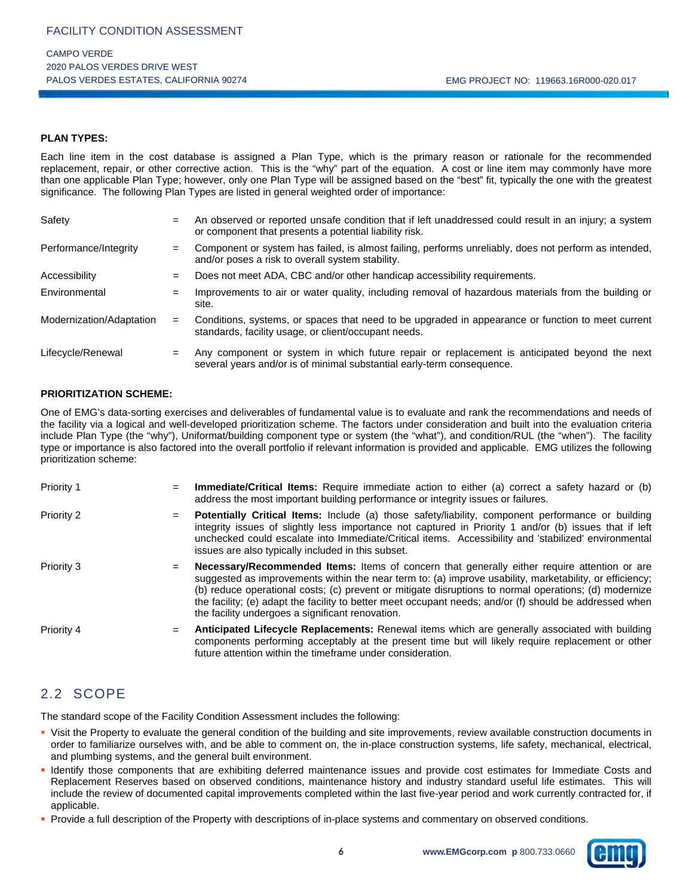#### **PLAN TYPES:**

Each line item in the cost database is assigned a Plan Type, which is the primary reason or rationale for the recommended replacement, repair, or other corrective action. This is the "why" part of the equation. A cost or line item may commonly have more than one applicable Plan Type; however, only one Plan Type will be assigned based on the "best" fit, typically the one with the greatest significance. The following Plan Types are listed in general weighted order of importance:

| Safety                   | $=$ | An observed or reported unsafe condition that if left unaddressed could result in an injury; a system<br>or component that presents a potential liability risk.        |
|--------------------------|-----|------------------------------------------------------------------------------------------------------------------------------------------------------------------------|
| Performance/Integrity    | $=$ | Component or system has failed, is almost failing, performs unreliably, does not perform as intended,<br>and/or poses a risk to overall system stability.              |
| Accessibility            | $=$ | Does not meet ADA, CBC and/or other handicap accessibility requirements.                                                                                               |
| Environmental            | $=$ | Improvements to air or water quality, including removal of hazardous materials from the building or<br>site.                                                           |
| Modernization/Adaptation | $=$ | Conditions, systems, or spaces that need to be upgraded in appearance or function to meet current<br>standards, facility usage, or client/occupant needs.              |
| Lifecycle/Renewal        | $=$ | Any component or system in which future repair or replacement is anticipated beyond the next<br>several years and/or is of minimal substantial early-term consequence. |

#### **PRIORITIZATION SCHEME:**

One of EMG's data-sorting exercises and deliverables of fundamental value is to evaluate and rank the recommendations and needs of the facility via a logical and well-developed prioritization scheme. The factors under consideration and built into the evaluation criteria include Plan Type (the "why"), Uniformat/building component type or system (the "what"), and condition/RUL (the "when"). The facility type or importance is also factored into the overall portfolio if relevant information is provided and applicable. EMG utilizes the following prioritization scheme:

| Priority 1 | Immediate/Critical Items: Require immediate action to either (a) correct a safety hazard or (b)<br>$=$<br>address the most important building performance or integrity issues or failures.                                                                                                                                                                                                                                                                                             |
|------------|----------------------------------------------------------------------------------------------------------------------------------------------------------------------------------------------------------------------------------------------------------------------------------------------------------------------------------------------------------------------------------------------------------------------------------------------------------------------------------------|
| Priority 2 | <b>Potentially Critical Items:</b> Include (a) those safety/liability, component performance or building<br>$=$<br>integrity issues of slightly less importance not captured in Priority 1 and/or (b) issues that if left<br>unchecked could escalate into Immediate/Critical items. Accessibility and 'stabilized' environmental<br>issues are also typically included in this subset.                                                                                                |
| Priority 3 | Necessary/Recommended Items: Items of concern that generally either require attention or are<br>$=$<br>suggested as improvements within the near term to: (a) improve usability, marketability, or efficiency;<br>(b) reduce operational costs; (c) prevent or mitigate disruptions to normal operations; (d) modernize<br>the facility; (e) adapt the facility to better meet occupant needs; and/or (f) should be addressed when<br>the facility undergoes a significant renovation. |
| Priority 4 | Anticipated Lifecycle Replacements: Renewal items which are generally associated with building<br>$=$<br>components performing acceptably at the present time but will likely require replacement or other<br>future attention within the timeframe under consideration.                                                                                                                                                                                                               |

## 2.2 SCOPE

The standard scope of the Facility Condition Assessment includes the following:

- Visit the Property to evaluate the general condition of the building and site improvements, review available construction documents in order to familiarize ourselves with, and be able to comment on, the in-place construction systems, life safety, mechanical, electrical, and plumbing systems, and the general built environment.
- Identify those components that are exhibiting deferred maintenance issues and provide cost estimates for Immediate Costs and Replacement Reserves based on observed conditions, maintenance history and industry standard useful life estimates. This will include the review of documented capital improvements completed within the last five-year period and work currently contracted for, if applicable.
- **Provide a full description of the Property with descriptions of in-place systems and commentary on observed conditions.**

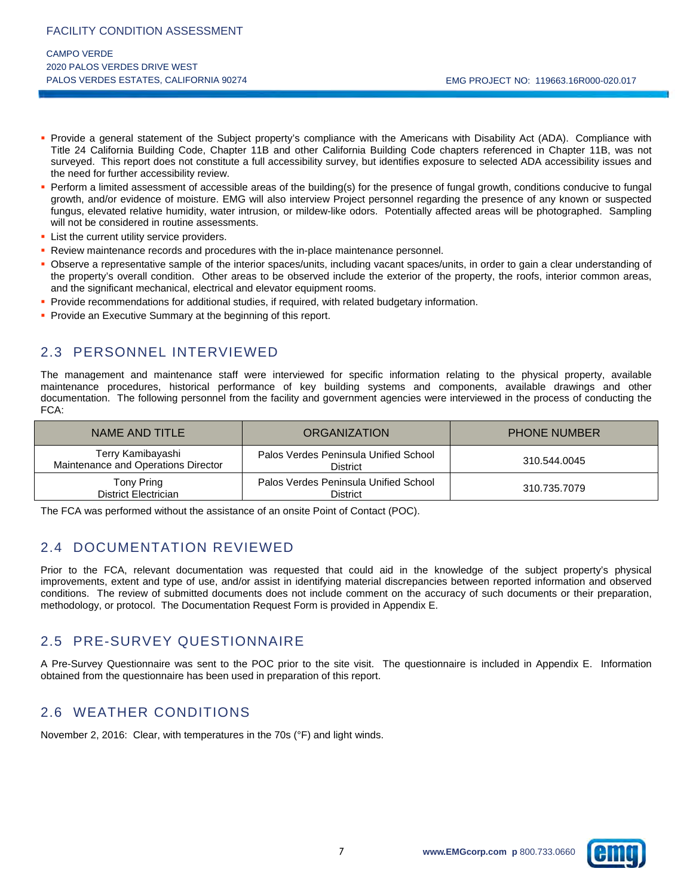- Provide a general statement of the Subject property's compliance with the Americans with Disability Act (ADA). Compliance with Title 24 California Building Code, Chapter 11B and other California Building Code chapters referenced in Chapter 11B, was not surveyed. This report does not constitute a full accessibility survey, but identifies exposure to selected ADA accessibility issues and the need for further accessibility review.
- Perform a limited assessment of accessible areas of the building(s) for the presence of fungal growth, conditions conducive to fungal growth, and/or evidence of moisture. EMG will also interview Project personnel regarding the presence of any known or suspected fungus, elevated relative humidity, water intrusion, or mildew-like odors. Potentially affected areas will be photographed. Sampling will not be considered in routine assessments.
- **List the current utility service providers.**
- **Review maintenance records and procedures with the in-place maintenance personnel.**
- Observe a representative sample of the interior spaces/units, including vacant spaces/units, in order to gain a clear understanding of the property's overall condition. Other areas to be observed include the exterior of the property, the roofs, interior common areas, and the significant mechanical, electrical and elevator equipment rooms.
- **Provide recommendations for additional studies, if required, with related budgetary information.**
- **Provide an Executive Summary at the beginning of this report.**

## 2.3 PERSONNEL INTERVIEWED

The management and maintenance staff were interviewed for specific information relating to the physical property, available maintenance procedures, historical performance of key building systems and components, available drawings and other documentation. The following personnel from the facility and government agencies were interviewed in the process of conducting the FCA:

| NAME AND TITLE                                           | <b>ORGANIZATION</b>                                      | <b>PHONE NUMBER</b> |
|----------------------------------------------------------|----------------------------------------------------------|---------------------|
| Terry Kamibayashi<br>Maintenance and Operations Director | Palos Verdes Peninsula Unified School<br><b>District</b> | 310.544.0045        |
| Tony Pring<br><b>District Electrician</b>                | Palos Verdes Peninsula Unified School<br>District        | 310.735.7079        |

The FCA was performed without the assistance of an onsite Point of Contact (POC).

## 2.4 DOCUMENTATION REVIEWED

Prior to the FCA, relevant documentation was requested that could aid in the knowledge of the subject property's physical improvements, extent and type of use, and/or assist in identifying material discrepancies between reported information and observed conditions. The review of submitted documents does not include comment on the accuracy of such documents or their preparation, methodology, or protocol. The Documentation Request Form is provided in Appendix E.

## 2.5 PRE-SURVEY QUESTIONNAIRE

A Pre-Survey Questionnaire was sent to the POC prior to the site visit. The questionnaire is included in Appendix E. Information obtained from the questionnaire has been used in preparation of this report.

## 2.6 WEATHER CONDITIONS

November 2, 2016: Clear, with temperatures in the 70s (°F) and light winds.

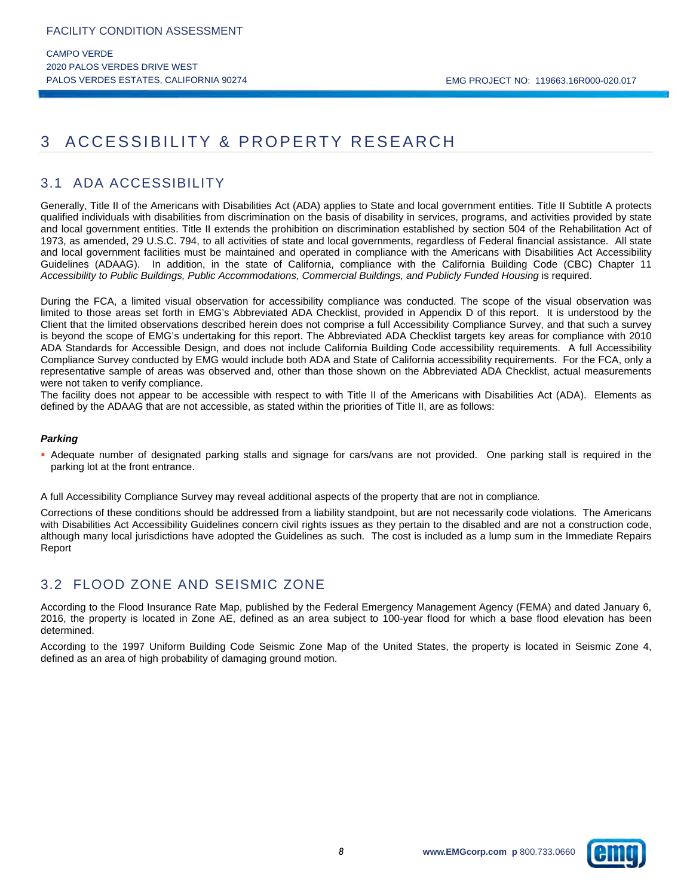## 3 ACCESSIBILITY & PROPERTY RESEARCH

## 3.1 ADA ACCESSIBILITY

Generally, Title II of the Americans with Disabilities Act (ADA) applies to State and local government entities. Title II Subtitle A protects qualified individuals with disabilities from discrimination on the basis of disability in services, programs, and activities provided by state and local government entities. Title II extends the prohibition on discrimination established by section 504 of the Rehabilitation Act of 1973, as amended, 29 U.S.C. 794, to all activities of state and local governments, regardless of Federal financial assistance. All state and local government facilities must be maintained and operated in compliance with the Americans with Disabilities Act Accessibility Guidelines (ADAAG). In addition, in the state of California, compliance with the California Building Code (CBC) Chapter 11 *Accessibility to Public Buildings, Public Accommodations, Commercial Buildings, and Publicly Funded Housing* is required.

During the FCA, a limited visual observation for accessibility compliance was conducted. The scope of the visual observation was limited to those areas set forth in EMG's Abbreviated ADA Checklist, provided in Appendix D of this report. It is understood by the Client that the limited observations described herein does not comprise a full Accessibility Compliance Survey, and that such a survey is beyond the scope of EMG's undertaking for this report. The Abbreviated ADA Checklist targets key areas for compliance with 2010 ADA Standards for Accessible Design, and does not include California Building Code accessibility requirements. A full Accessibility Compliance Survey conducted by EMG would include both ADA and State of California accessibility requirements. For the FCA, only a representative sample of areas was observed and, other than those shown on the Abbreviated ADA Checklist, actual measurements were not taken to verify compliance.

The facility does not appear to be accessible with respect to with Title II of the Americans with Disabilities Act (ADA). Elements as defined by the ADAAG that are not accessible, as stated within the priorities of Title II, are as follows:

#### *Parking*

 Adequate number of designated parking stalls and signage for cars/vans are not provided. One parking stall is required in the parking lot at the front entrance.

A full Accessibility Compliance Survey may reveal additional aspects of the property that are not in compliance*.* 

Corrections of these conditions should be addressed from a liability standpoint, but are not necessarily code violations. The Americans with Disabilities Act Accessibility Guidelines concern civil rights issues as they pertain to the disabled and are not a construction code, although many local jurisdictions have adopted the Guidelines as such. The cost is included as a lump sum in the Immediate Repairs Report

## 3.2 FLOOD ZONE AND SEISMIC ZONE

According to the Flood Insurance Rate Map, published by the Federal Emergency Management Agency (FEMA) and dated January 6, 2016, the property is located in Zone AE, defined as an area subject to 100-year flood for which a base flood elevation has been determined.

According to the 1997 Uniform Building Code Seismic Zone Map of the United States, the property is located in Seismic Zone 4, defined as an area of high probability of damaging ground motion.

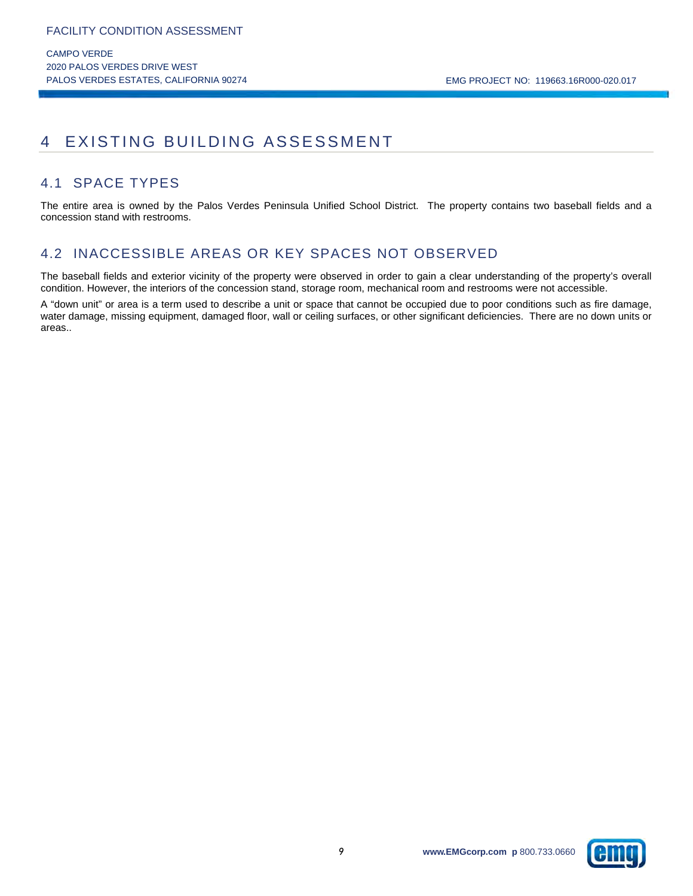## 4 EXISTING BUILDING ASSESSMENT

## 4.1 SPACE TYPES

The entire area is owned by the Palos Verdes Peninsula Unified School District. The property contains two baseball fields and a concession stand with restrooms.

## 4.2 INACCESSIBLE AREAS OR KEY SPACES NOT OBSERVED

The baseball fields and exterior vicinity of the property were observed in order to gain a clear understanding of the property's overall condition. However, the interiors of the concession stand, storage room, mechanical room and restrooms were not accessible.

A "down unit" or area is a term used to describe a unit or space that cannot be occupied due to poor conditions such as fire damage, water damage, missing equipment, damaged floor, wall or ceiling surfaces, or other significant deficiencies. There are no down units or areas..

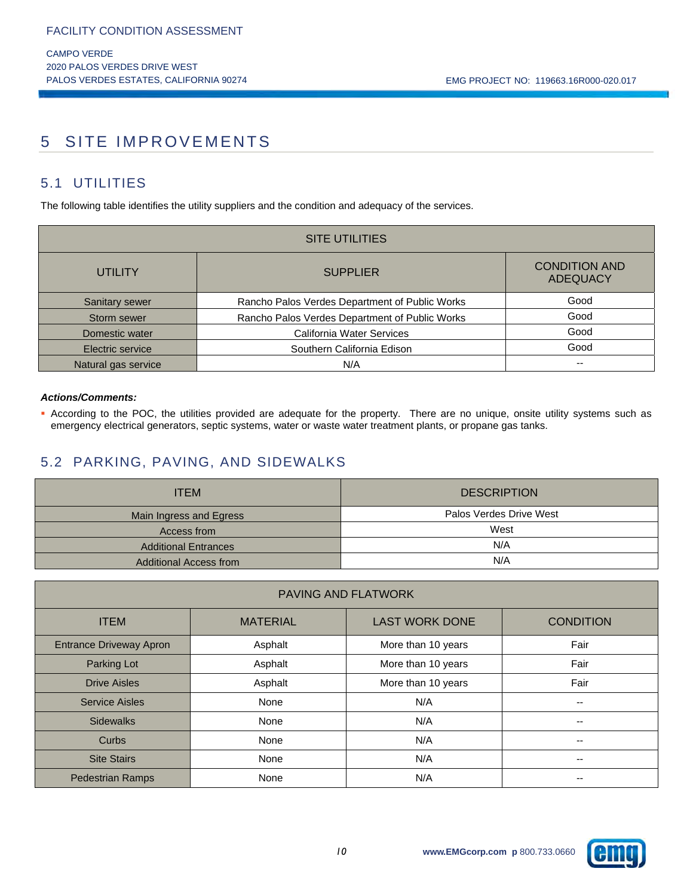## 5 SITE IMPROVEMENTS

## 5.1 UTILITIES

The following table identifies the utility suppliers and the condition and adequacy of the services.

| <b>SITE UTILITIES</b> |                                                |                                         |  |  |  |  |  |
|-----------------------|------------------------------------------------|-----------------------------------------|--|--|--|--|--|
| <b>UTILITY</b>        | <b>SUPPLIER</b>                                | <b>CONDITION AND</b><br><b>ADEQUACY</b> |  |  |  |  |  |
| Sanitary sewer        | Rancho Palos Verdes Department of Public Works | Good                                    |  |  |  |  |  |
| Storm sewer           | Rancho Palos Verdes Department of Public Works | Good                                    |  |  |  |  |  |
| Domestic water        | California Water Services                      | Good                                    |  |  |  |  |  |
| Electric service      | Southern California Edison                     | Good                                    |  |  |  |  |  |
| Natural gas service   | N/A                                            | $- -$                                   |  |  |  |  |  |

#### *Actions/Comments:*

 According to the POC, the utilities provided are adequate for the property. There are no unique, onsite utility systems such as emergency electrical generators, septic systems, water or waste water treatment plants, or propane gas tanks.

## 5.2 PARKING, PAVING, AND SIDEWALKS

| <b>ITEM</b>                   | <b>DESCRIPTION</b>      |
|-------------------------------|-------------------------|
| Main Ingress and Egress       | Palos Verdes Drive West |
| Access from                   | West                    |
| <b>Additional Entrances</b>   | N/A                     |
| <b>Additional Access from</b> | N/A                     |

| PAVING AND FLATWORK            |                                                              |                    |      |  |  |  |
|--------------------------------|--------------------------------------------------------------|--------------------|------|--|--|--|
| <b>ITEM</b>                    | <b>LAST WORK DONE</b><br><b>MATERIAL</b><br><b>CONDITION</b> |                    |      |  |  |  |
| <b>Entrance Driveway Apron</b> | Asphalt                                                      | More than 10 years | Fair |  |  |  |
| Parking Lot                    | Asphalt                                                      | More than 10 years | Fair |  |  |  |
| <b>Drive Aisles</b>            | Asphalt                                                      | More than 10 years | Fair |  |  |  |
| <b>Service Aisles</b>          | None                                                         | N/A                | --   |  |  |  |
| <b>Sidewalks</b>               | None                                                         | N/A                | --   |  |  |  |
| Curbs                          | None                                                         | N/A                | --   |  |  |  |
| <b>Site Stairs</b>             | None                                                         | N/A                | --   |  |  |  |
| <b>Pedestrian Ramps</b>        | None                                                         | N/A                | --   |  |  |  |

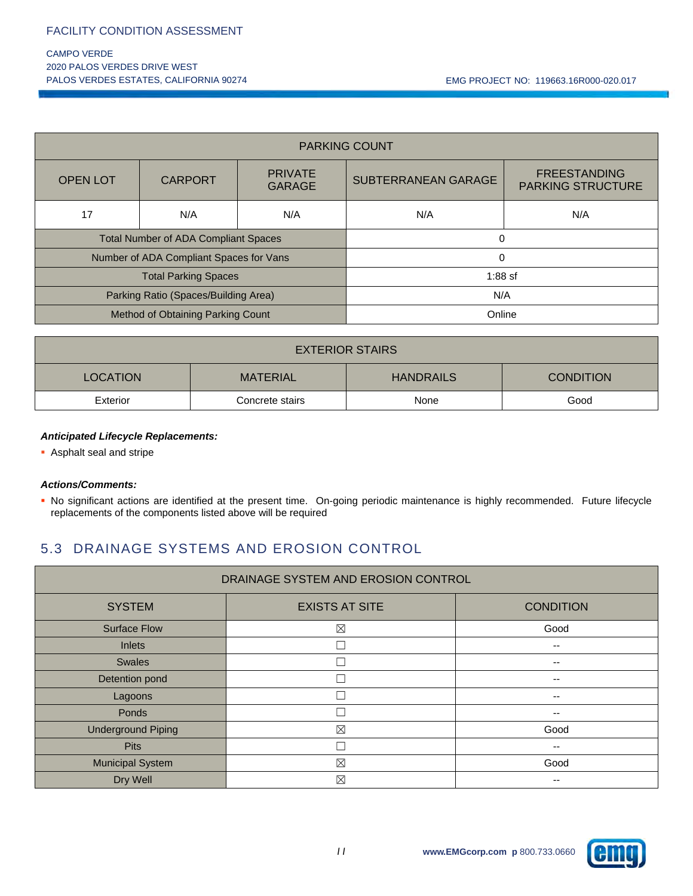#### CAMPO VERDE 2020 PALOS VERDES DRIVE WEST PALOS VERDES ESTATES, CALIFORNIA 90274 CHARLET NO: 119663.16R000-020.017

| <b>PARKING COUNT</b>                        |                |                                 |                                                                        |  |  |  |
|---------------------------------------------|----------------|---------------------------------|------------------------------------------------------------------------|--|--|--|
| <b>OPEN LOT</b>                             | <b>CARPORT</b> | <b>PRIVATE</b><br><b>GARAGE</b> | <b>FREESTANDING</b><br>SUBTERRANEAN GARAGE<br><b>PARKING STRUCTURE</b> |  |  |  |
| 17                                          | N/A            | N/A                             | N/A<br>N/A                                                             |  |  |  |
| <b>Total Number of ADA Compliant Spaces</b> |                |                                 | $\Omega$                                                               |  |  |  |
| Number of ADA Compliant Spaces for Vans     |                | $\Omega$                        |                                                                        |  |  |  |
| <b>Total Parking Spaces</b>                 |                |                                 | $1:88$ sf                                                              |  |  |  |
| Parking Ratio (Spaces/Building Area)        |                | N/A                             |                                                                        |  |  |  |
| Method of Obtaining Parking Count           |                |                                 | Online                                                                 |  |  |  |

| <b>EXTERIOR STAIRS</b>                                                     |  |  |  |  |  |  |
|----------------------------------------------------------------------------|--|--|--|--|--|--|
| <b>CONDITION</b><br><b>LOCATION</b><br><b>HANDRAILS</b><br><b>MATERIAL</b> |  |  |  |  |  |  |
| Good<br>Exterior<br>Concrete stairs<br>None                                |  |  |  |  |  |  |

#### *Anticipated Lifecycle Replacements:*

Asphalt seal and stripe

#### *Actions/Comments:*

 No significant actions are identified at the present time. On-going periodic maintenance is highly recommended. Future lifecycle replacements of the components listed above will be required

## 5.3 DRAINAGE SYSTEMS AND EROSION CONTROL

| DRAINAGE SYSTEM AND EROSION CONTROL |                       |                  |  |  |
|-------------------------------------|-----------------------|------------------|--|--|
| <b>SYSTEM</b>                       | <b>EXISTS AT SITE</b> | <b>CONDITION</b> |  |  |
| <b>Surface Flow</b>                 | $\boxtimes$           | Good             |  |  |
| <b>Inlets</b>                       | П                     | --               |  |  |
| <b>Swales</b>                       | Г                     | --               |  |  |
| Detention pond                      | Г                     | --               |  |  |
| Lagoons                             | Г                     | --               |  |  |
| Ponds                               | Г                     | --               |  |  |
| <b>Underground Piping</b>           | $\boxtimes$           | Good             |  |  |
| <b>Pits</b>                         | Г                     | --               |  |  |
| <b>Municipal System</b>             | $\boxtimes$           | Good             |  |  |
| Dry Well                            | $\boxtimes$           | --               |  |  |

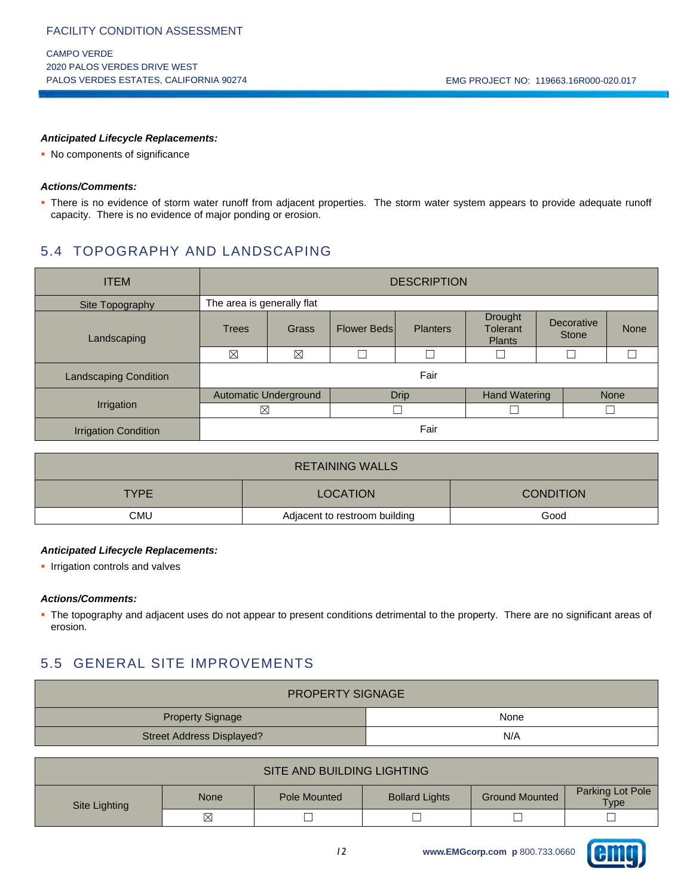#### *Anticipated Lifecycle Replacements:*

• No components of significance

#### *Actions/Comments:*

 There is no evidence of storm water runoff from adjacent properties. The storm water system appears to provide adequate runoff capacity. There is no evidence of major ponding or erosion.

## 5.4 TOPOGRAPHY AND LANDSCAPING

| <b>ITEM</b>                  | <b>DESCRIPTION</b>         |       |                    |                 |                                             |                            |             |
|------------------------------|----------------------------|-------|--------------------|-----------------|---------------------------------------------|----------------------------|-------------|
| Site Topography              | The area is generally flat |       |                    |                 |                                             |                            |             |
| Landscaping                  | <b>Trees</b>               | Grass | <b>Flower Beds</b> | <b>Planters</b> | <b>Drought</b><br>Tolerant<br><b>Plants</b> | Decorative<br><b>Stone</b> | <b>None</b> |
|                              | $\boxtimes$                | ⊠     |                    |                 |                                             |                            |             |
| <b>Landscaping Condition</b> |                            | Fair  |                    |                 |                                             |                            |             |
|                              | Automatic Underground      |       | <b>Drip</b>        |                 | <b>Hand Watering</b>                        |                            | <b>None</b> |
| Irrigation                   | $\boxtimes$                |       |                    |                 |                                             |                            |             |
| <b>Irrigation Condition</b>  |                            | Fair  |                    |                 |                                             |                            |             |

| <b>RETAINING WALLS</b>                       |  |  |  |  |  |
|----------------------------------------------|--|--|--|--|--|
| <b>CONDITION</b><br>TYPE.<br><b>LOCATION</b> |  |  |  |  |  |
| CMU<br>Good<br>Adjacent to restroom building |  |  |  |  |  |

#### *Anticipated Lifecycle Replacements:*

**Inductation controls and valves** 

#### *Actions/Comments:*

• The topography and adjacent uses do not appear to present conditions detrimental to the property. There are no significant areas of erosion.

## 5.5 GENERAL SITE IMPROVEMENTS

| <b>PROPERTY SIGNAGE</b>   |      |  |  |
|---------------------------|------|--|--|
| <b>Property Signage</b>   | None |  |  |
| Street Address Displayed? | N/A  |  |  |

| SITE AND BUILDING LIGHTING |                       |                          |  |  |  |
|----------------------------|-----------------------|--------------------------|--|--|--|
| Site Lighting              | <b>Ground Mounted</b> | Parking Lot Pole<br>Type |  |  |  |
|                            | ⊠                     |                          |  |  |  |

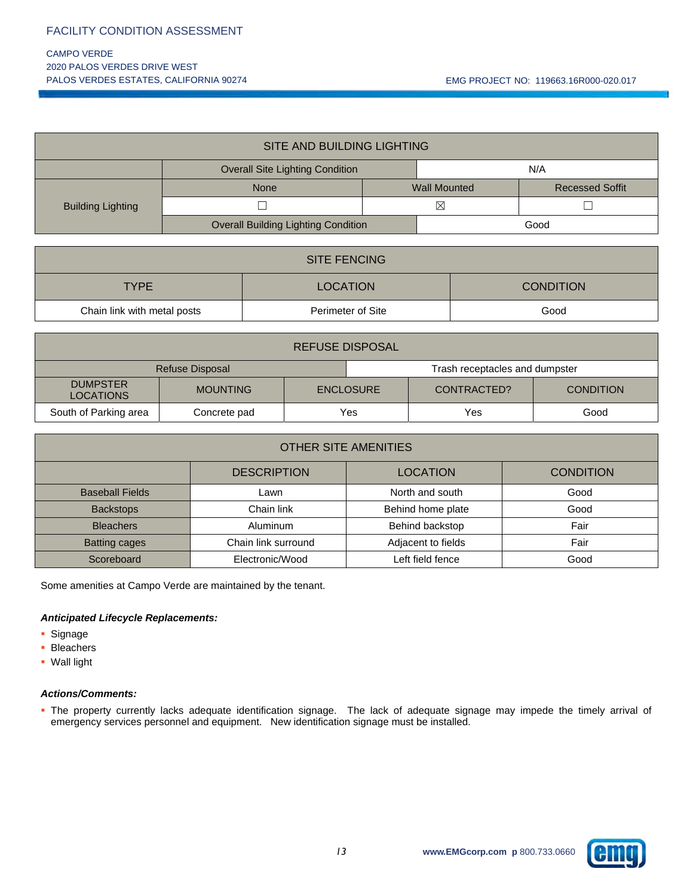#### CAMPO VERDE 2020 PALOS VERDES DRIVE WEST PALOS VERDES ESTATES, CALIFORNIA 90274 CHARLET NO: 119663.16R000-020.017

| SITE AND BUILDING LIGHTING |                                               |                     |  |                        |  |
|----------------------------|-----------------------------------------------|---------------------|--|------------------------|--|
|                            | N/A<br><b>Overall Site Lighting Condition</b> |                     |  |                        |  |
|                            | <b>None</b>                                   | <b>Wall Mounted</b> |  | <b>Recessed Soffit</b> |  |
| <b>Building Lighting</b>   |                                               | $\boxtimes$         |  |                        |  |
|                            | <b>Overall Building Lighting Condition</b>    |                     |  | Good                   |  |

| <b>SITE FENCING</b>                                      |  |  |  |  |  |
|----------------------------------------------------------|--|--|--|--|--|
| <b>LOCATION</b><br><b>CONDITION</b><br><b>TYPE</b>       |  |  |  |  |  |
| Perimeter of Site<br>Good<br>Chain link with metal posts |  |  |  |  |  |

| <b>REFUSE DISPOSAL</b>                            |                 |                  |     |             |                  |
|---------------------------------------------------|-----------------|------------------|-----|-------------|------------------|
| Refuse Disposal<br>Trash receptacles and dumpster |                 |                  |     |             |                  |
| <b>DUMPSTER</b><br><b>LOCATIONS</b>               | <b>MOUNTING</b> | <b>ENCLOSURE</b> |     | CONTRACTED? | <b>CONDITION</b> |
| South of Parking area                             | Concrete pad    |                  | Yes | Yes         | Good             |

| <b>OTHER SITE AMENITIES</b>                               |                     |                    |      |  |  |  |  |
|-----------------------------------------------------------|---------------------|--------------------|------|--|--|--|--|
| <b>DESCRIPTION</b><br><b>LOCATION</b><br><b>CONDITION</b> |                     |                    |      |  |  |  |  |
| <b>Baseball Fields</b>                                    | Lawn                | North and south    | Good |  |  |  |  |
| <b>Backstops</b>                                          | Chain link          | Behind home plate  | Good |  |  |  |  |
| <b>Bleachers</b>                                          | <b>Aluminum</b>     | Behind backstop    | Fair |  |  |  |  |
| <b>Batting cages</b>                                      | Chain link surround | Adjacent to fields | Fair |  |  |  |  |
| Scoreboard                                                | Electronic/Wood     | Left field fence   | Good |  |  |  |  |

Some amenities at Campo Verde are maintained by the tenant.

#### *Anticipated Lifecycle Replacements:*

- **Signage**
- **Bleachers**
- Wall light

#### *Actions/Comments:*

 The property currently lacks adequate identification signage. The lack of adequate signage may impede the timely arrival of emergency services personnel and equipment. New identification signage must be installed.

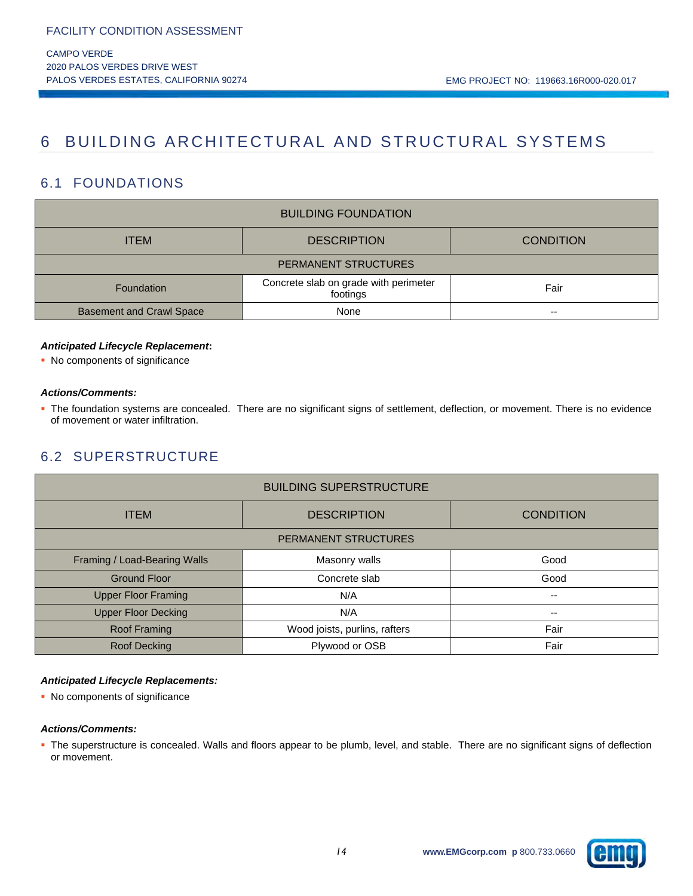## 6 BUILDING ARCHITECTURAL AND STRUCTURAL SYSTEMS

## 6.1 FOUNDATIONS

| <b>BUILDING FOUNDATION</b>                                      |                  |      |  |  |  |
|-----------------------------------------------------------------|------------------|------|--|--|--|
| <b>ITEM</b>                                                     | <b>CONDITION</b> |      |  |  |  |
| PERMANENT STRUCTURES                                            |                  |      |  |  |  |
| Concrete slab on grade with perimeter<br>Foundation<br>footings |                  | Fair |  |  |  |
| <b>Basement and Crawl Space</b>                                 | --               |      |  |  |  |

#### *Anticipated Lifecycle Replacement***:**

• No components of significance

#### *Actions/Comments:*

 The foundation systems are concealed. There are no significant signs of settlement, deflection, or movement. There is no evidence of movement or water infiltration.

## 6.2 SUPERSTRUCTURE

| <b>BUILDING SUPERSTRUCTURE</b>    |                               |                          |  |  |  |
|-----------------------------------|-------------------------------|--------------------------|--|--|--|
| <b>ITEM</b><br><b>DESCRIPTION</b> |                               | <b>CONDITION</b>         |  |  |  |
| <b>PERMANENT STRUCTURES</b>       |                               |                          |  |  |  |
| Framing / Load-Bearing Walls      | Masonry walls                 | Good                     |  |  |  |
| <b>Ground Floor</b>               | Concrete slab                 | Good                     |  |  |  |
| <b>Upper Floor Framing</b>        | N/A                           | $\overline{\phantom{a}}$ |  |  |  |
| <b>Upper Floor Decking</b>        | N/A                           | --                       |  |  |  |
| Roof Framing                      | Wood joists, purlins, rafters | Fair                     |  |  |  |
| Roof Decking                      | Plywood or OSB                | Fair                     |  |  |  |

#### *Anticipated Lifecycle Replacements:*

• No components of significance

#### *Actions/Comments:*

 The superstructure is concealed. Walls and floors appear to be plumb, level, and stable. There are no significant signs of deflection or movement.

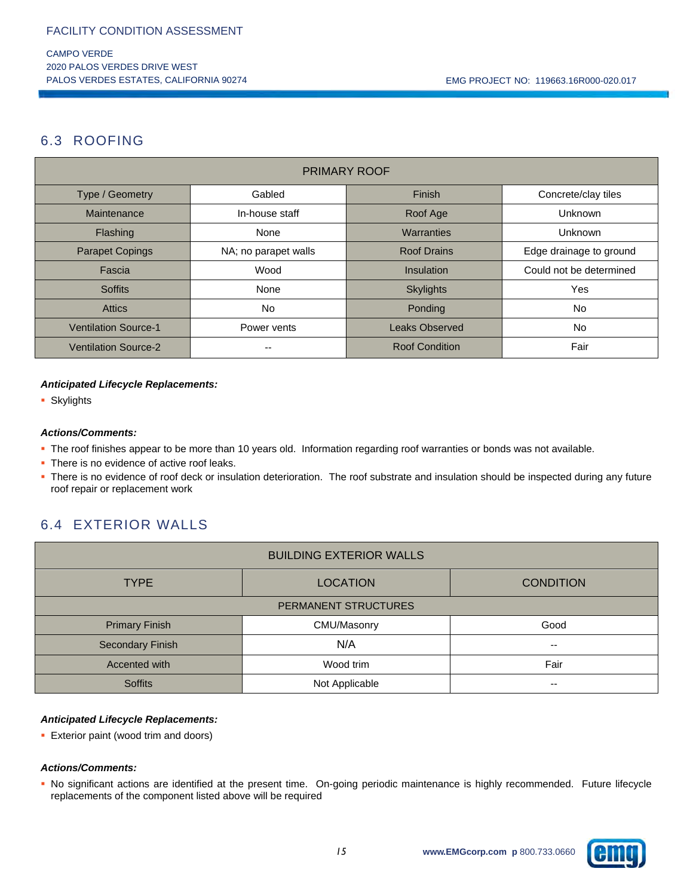## 6.3 ROOFING

| <b>PRIMARY ROOF</b>         |                      |                       |                         |  |  |  |
|-----------------------------|----------------------|-----------------------|-------------------------|--|--|--|
| Type / Geometry             | Gabled               | Finish                | Concrete/clay tiles     |  |  |  |
| Maintenance                 | In-house staff       | Roof Age              | Unknown                 |  |  |  |
| Flashing                    | None                 | Warranties            | <b>Unknown</b>          |  |  |  |
| <b>Parapet Copings</b>      | NA; no parapet walls | <b>Roof Drains</b>    | Edge drainage to ground |  |  |  |
| Fascia                      | Wood                 | Insulation            | Could not be determined |  |  |  |
| <b>Soffits</b>              | None                 | <b>Skylights</b>      | Yes                     |  |  |  |
| <b>Attics</b>               | No.                  | Ponding               | No.                     |  |  |  |
| <b>Ventilation Source-1</b> | Power vents          | <b>Leaks Observed</b> | No                      |  |  |  |
| <b>Ventilation Source-2</b> |                      | <b>Roof Condition</b> | Fair                    |  |  |  |

#### *Anticipated Lifecycle Replacements:*

**Skylights** 

#### *Actions/Comments:*

The roof finishes appear to be more than 10 years old. Information regarding roof warranties or bonds was not available.

- There is no evidence of active roof leaks.
- There is no evidence of roof deck or insulation deterioration. The roof substrate and insulation should be inspected during any future roof repair or replacement work

## 6.4 EXTERIOR WALLS

| <b>BUILDING EXTERIOR WALLS</b> |                  |       |  |  |  |
|--------------------------------|------------------|-------|--|--|--|
| <b>TYPE</b>                    | <b>CONDITION</b> |       |  |  |  |
| PERMANENT STRUCTURES           |                  |       |  |  |  |
| <b>Primary Finish</b>          | CMU/Masonry      | Good  |  |  |  |
| N/A<br>Secondary Finish        |                  | $- -$ |  |  |  |
| Accented with                  | Wood trim        | Fair  |  |  |  |
| <b>Soffits</b>                 | Not Applicable   | $- -$ |  |  |  |

#### *Anticipated Lifecycle Replacements:*

**Exterior paint (wood trim and doors)** 

#### *Actions/Comments:*

 No significant actions are identified at the present time. On-going periodic maintenance is highly recommended. Future lifecycle replacements of the component listed above will be required

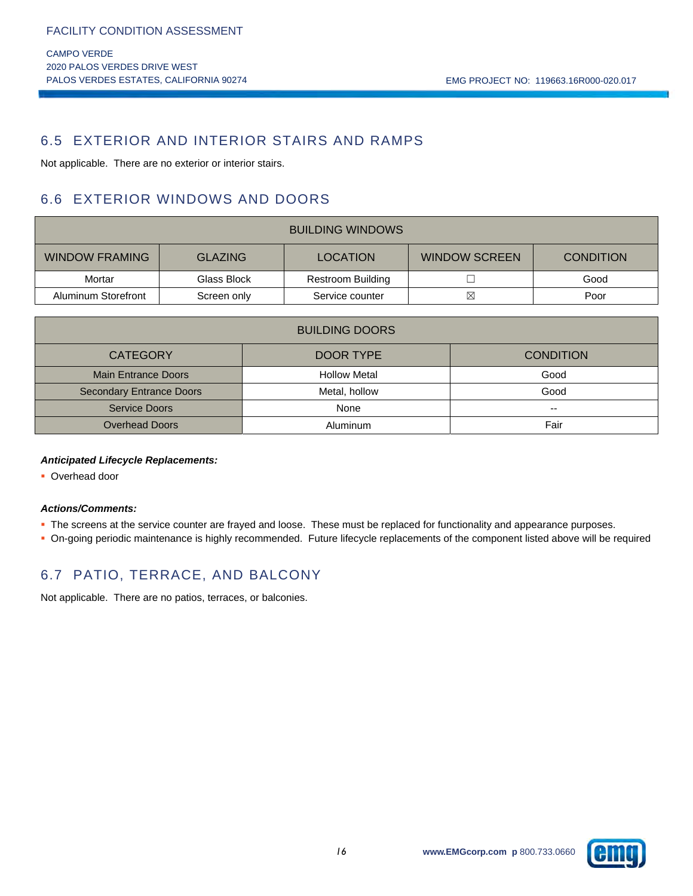## 6.5 EXTERIOR AND INTERIOR STAIRS AND RAMPS

Not applicable. There are no exterior or interior stairs.

## 6.6 EXTERIOR WINDOWS AND DOORS

| <b>BUILDING WINDOWS</b>                                                                                |             |                          |   |      |  |
|--------------------------------------------------------------------------------------------------------|-------------|--------------------------|---|------|--|
| <b>WINDOW FRAMING</b><br><b>WINDOW SCREEN</b><br><b>GLAZING</b><br><b>LOCATION</b><br><b>CONDITION</b> |             |                          |   |      |  |
| Mortar                                                                                                 | Glass Block | <b>Restroom Building</b> |   | Good |  |
| Aluminum Storefront                                                                                    | Screen only | Service counter          | ⊠ | Poor |  |

| <b>BUILDING DOORS</b>                            |                     |      |  |  |  |
|--------------------------------------------------|---------------------|------|--|--|--|
| <b>CONDITION</b><br><b>CATEGORY</b><br>DOOR TYPE |                     |      |  |  |  |
| <b>Main Entrance Doors</b>                       | <b>Hollow Metal</b> | Good |  |  |  |
| <b>Secondary Entrance Doors</b><br>Metal, hollow |                     | Good |  |  |  |
| <b>Service Doors</b>                             | None                | --   |  |  |  |
| <b>Overhead Doors</b>                            | Aluminum            | Fair |  |  |  |

#### *Anticipated Lifecycle Replacements:*

**• Overhead door** 

#### *Actions/Comments:*

- The screens at the service counter are frayed and loose. These must be replaced for functionality and appearance purposes.
- On-going periodic maintenance is highly recommended. Future lifecycle replacements of the component listed above will be required

## 6.7 PATIO, TERRACE, AND BALCONY

Not applicable. There are no patios, terraces, or balconies.

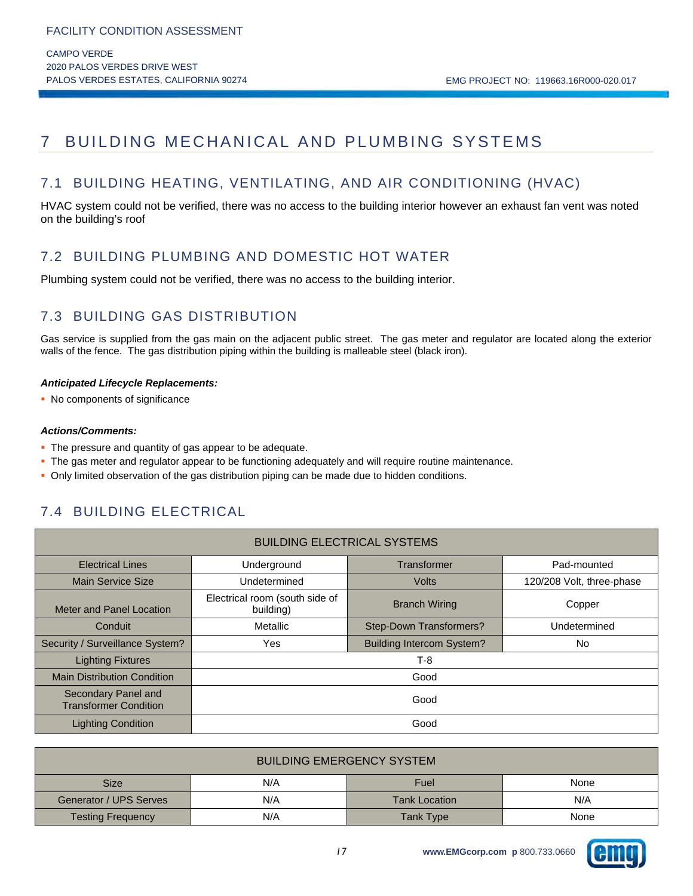## 7 BUILDING MECHANICAL AND PLUMBING SYSTEMS

## 7.1 BUILDING HEATING, VENTILATING, AND AIR CONDITIONING (HVAC)

HVAC system could not be verified, there was no access to the building interior however an exhaust fan vent was noted on the building's roof

## 7.2 BUILDING PLUMBING AND DOMESTIC HOT WATER

Plumbing system could not be verified, there was no access to the building interior.

## 7.3 BUILDING GAS DISTRIBUTION

Gas service is supplied from the gas main on the adjacent public street. The gas meter and regulator are located along the exterior walls of the fence. The gas distribution piping within the building is malleable steel (black iron).

#### *Anticipated Lifecycle Replacements:*

• No components of significance

#### *Actions/Comments:*

- The pressure and quantity of gas appear to be adequate.
- The gas meter and regulator appear to be functioning adequately and will require routine maintenance.
- Only limited observation of the gas distribution piping can be made due to hidden conditions.

## 7.4 BUILDING ELECTRICAL

| <b>BUILDING ELECTRICAL SYSTEMS</b>                  |                                                     |              |                           |  |  |  |
|-----------------------------------------------------|-----------------------------------------------------|--------------|---------------------------|--|--|--|
| <b>Electrical Lines</b>                             | Underground                                         | Transformer  | Pad-mounted               |  |  |  |
| <b>Main Service Size</b>                            | Undetermined                                        | <b>Volts</b> | 120/208 Volt, three-phase |  |  |  |
| Meter and Panel Location                            | Electrical room (south side of<br>building)         | Copper       |                           |  |  |  |
| Conduit                                             | Step-Down Transformers?<br>Metallic<br>Undetermined |              |                           |  |  |  |
| Security / Surveillance System?                     | <b>Building Intercom System?</b><br>Yes<br>No.      |              |                           |  |  |  |
| <b>Lighting Fixtures</b>                            |                                                     | $T-8$        |                           |  |  |  |
| <b>Main Distribution Condition</b>                  | Good                                                |              |                           |  |  |  |
| Secondary Panel and<br><b>Transformer Condition</b> | Good                                                |              |                           |  |  |  |
| <b>Lighting Condition</b>                           |                                                     | Good         |                           |  |  |  |

| <b>BUILDING EMERGENCY SYSTEM</b>                     |                     |                             |  |  |  |  |  |
|------------------------------------------------------|---------------------|-----------------------------|--|--|--|--|--|
| <b>Size</b>                                          | N/A<br>Fuel<br>None |                             |  |  |  |  |  |
| Generator / UPS Serves                               | N/A                 | N/A<br><b>Tank Location</b> |  |  |  |  |  |
| N/A<br>Tank Type<br><b>Testing Frequency</b><br>None |                     |                             |  |  |  |  |  |

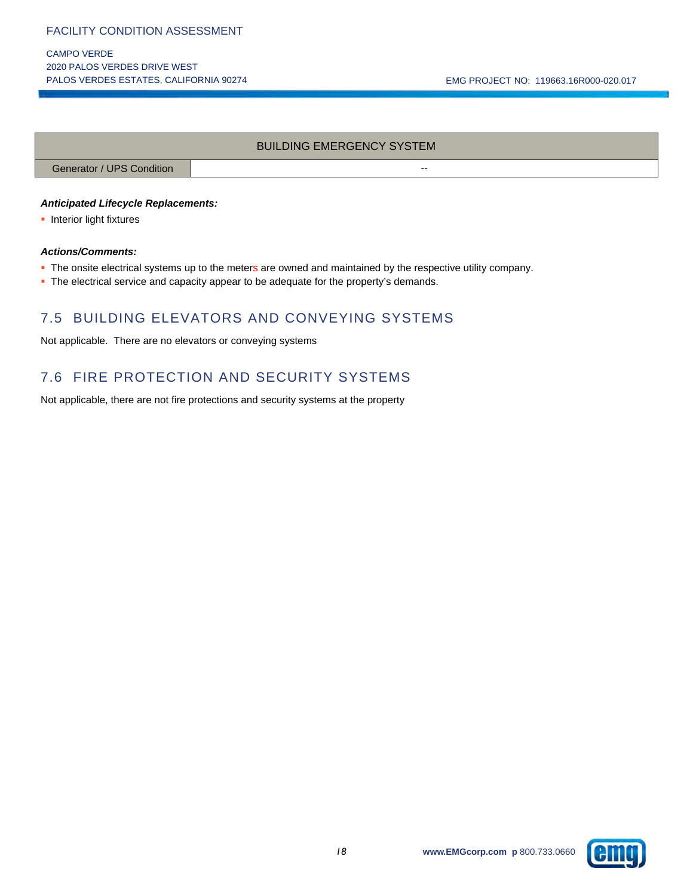CAMPO VERDE 2020 PALOS VERDES DRIVE WEST

#### BUILDING EMERGENCY SYSTEM

Generator / UPS Condition --

#### *Anticipated Lifecycle Replacements:*

**Interior light fixtures** 

#### *Actions/Comments:*

- The onsite electrical systems up to the meters are owned and maintained by the respective utility company.
- The electrical service and capacity appear to be adequate for the property's demands.

## 7.5 BUILDING ELEVATORS AND CONVEYING SYSTEMS

Not applicable. There are no elevators or conveying systems

## 7.6 FIRE PROTECTION AND SECURITY SYSTEMS

Not applicable, there are not fire protections and security systems at the property

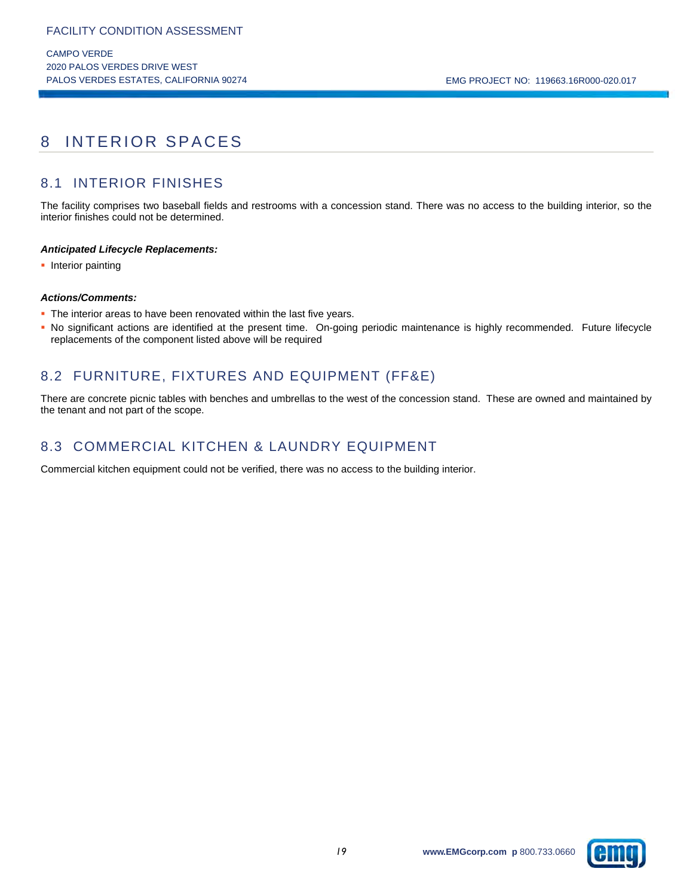## 8 INTERIOR SPACES

## 8.1 INTERIOR FINISHES

The facility comprises two baseball fields and restrooms with a concession stand. There was no access to the building interior, so the interior finishes could not be determined.

#### *Anticipated Lifecycle Replacements:*

• Interior painting

#### *Actions/Comments:*

- The interior areas to have been renovated within the last five years.
- No significant actions are identified at the present time. On-going periodic maintenance is highly recommended. Future lifecycle replacements of the component listed above will be required

## 8.2 FURNITURE, FIXTURES AND EQUIPMENT (FF&E)

There are concrete picnic tables with benches and umbrellas to the west of the concession stand. These are owned and maintained by the tenant and not part of the scope.

## 8.3 COMMERCIAL KITCHEN & LAUNDRY EQUIPMENT

Commercial kitchen equipment could not be verified, there was no access to the building interior.

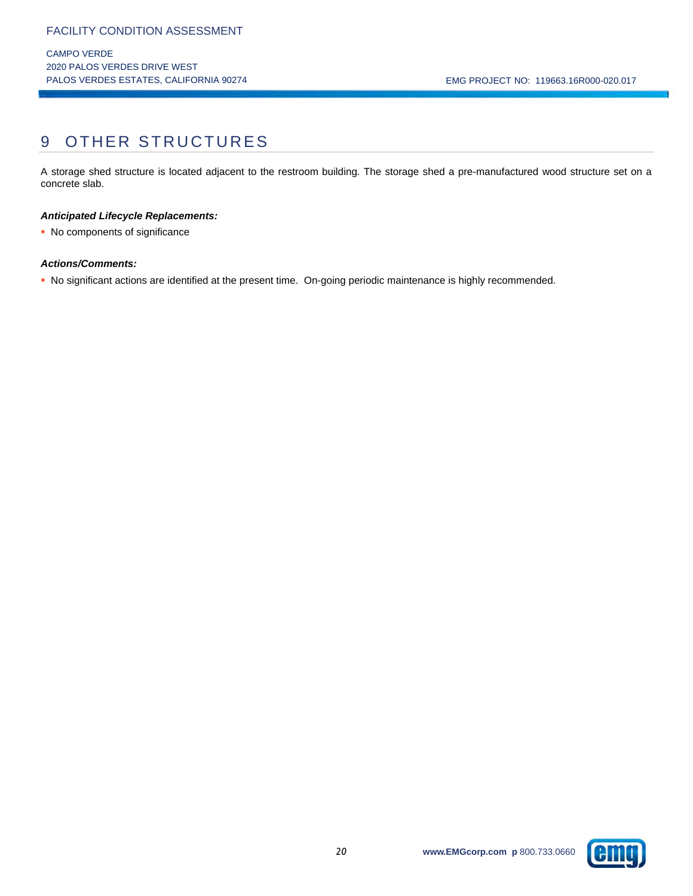## 9 OTHER STRUCTURES

A storage shed structure is located adjacent to the restroom building. The storage shed a pre-manufactured wood structure set on a concrete slab.

#### *Anticipated Lifecycle Replacements:*

• No components of significance

#### *Actions/Comments:*

No significant actions are identified at the present time. On-going periodic maintenance is highly recommended.

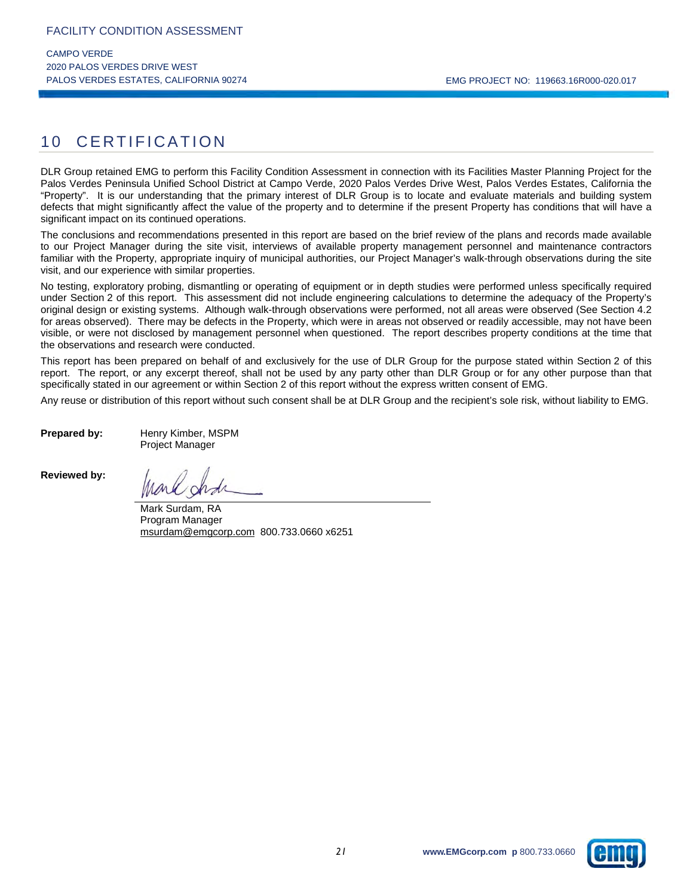## 10 CERTIFICATION

DLR Group retained EMG to perform this Facility Condition Assessment in connection with its Facilities Master Planning Project for the Palos Verdes Peninsula Unified School District at Campo Verde, 2020 Palos Verdes Drive West, Palos Verdes Estates, California the "Property". It is our understanding that the primary interest of DLR Group is to locate and evaluate materials and building system defects that might significantly affect the value of the property and to determine if the present Property has conditions that will have a significant impact on its continued operations.

The conclusions and recommendations presented in this report are based on the brief review of the plans and records made available to our Project Manager during the site visit, interviews of available property management personnel and maintenance contractors familiar with the Property, appropriate inquiry of municipal authorities, our Project Manager's walk-through observations during the site visit, and our experience with similar properties.

No testing, exploratory probing, dismantling or operating of equipment or in depth studies were performed unless specifically required under Section 2 of this report. This assessment did not include engineering calculations to determine the adequacy of the Property's original design or existing systems. Although walk-through observations were performed, not all areas were observed (See Section 4.2 for areas observed). There may be defects in the Property, which were in areas not observed or readily accessible, may not have been visible, or were not disclosed by management personnel when questioned. The report describes property conditions at the time that the observations and research were conducted.

This report has been prepared on behalf of and exclusively for the use of DLR Group for the purpose stated within Section 2 of this report. The report, or any excerpt thereof, shall not be used by any party other than DLR Group or for any other purpose than that specifically stated in our agreement or within Section 2 of this report without the express written consent of EMG.

Any reuse or distribution of this report without such consent shall be at DLR Group and the recipient's sole risk, without liability to EMG.

**Prepared by:** Henry Kimber, MSPM Project Manager

**Reviewed by:** 

Mark Surdam, RA Program Manager msurdam@emgcorp.com 800.733.0660 x6251

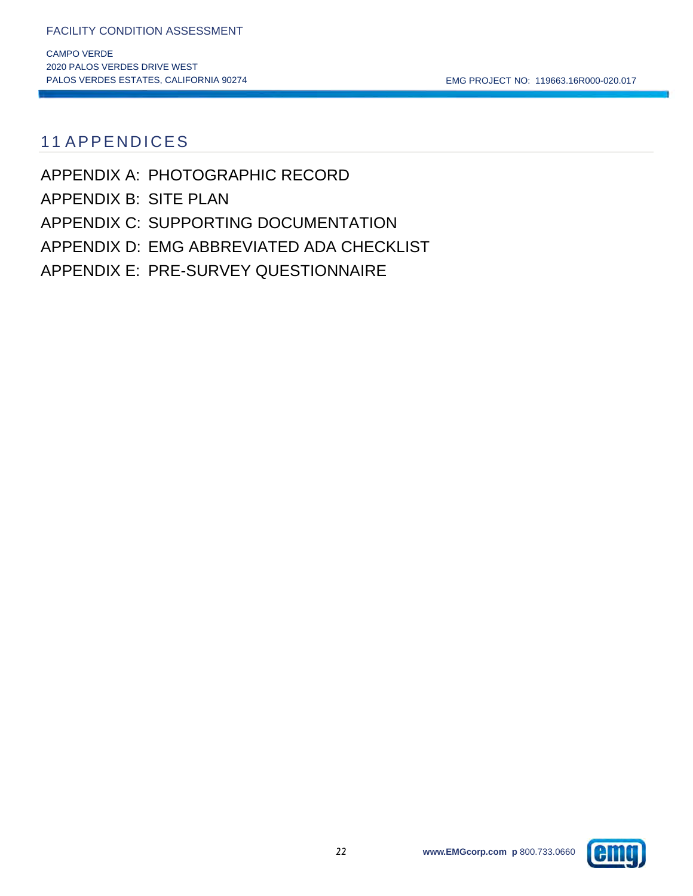PALOS VERDES ESTATES, CALIFORNIA 90274 CHARLET NO: 119663.16R000-020.017

## 11 APPENDICES

APPENDIX A: PHOTOGRAPHIC RECORD APPENDIX B: SITE PLAN APPENDIX C: SUPPORTING DOCUMENTATION APPENDIX D: EMG ABBREVIATED ADA CHECKLIST APPENDIX E: PRE-SURVEY QUESTIONNAIRE

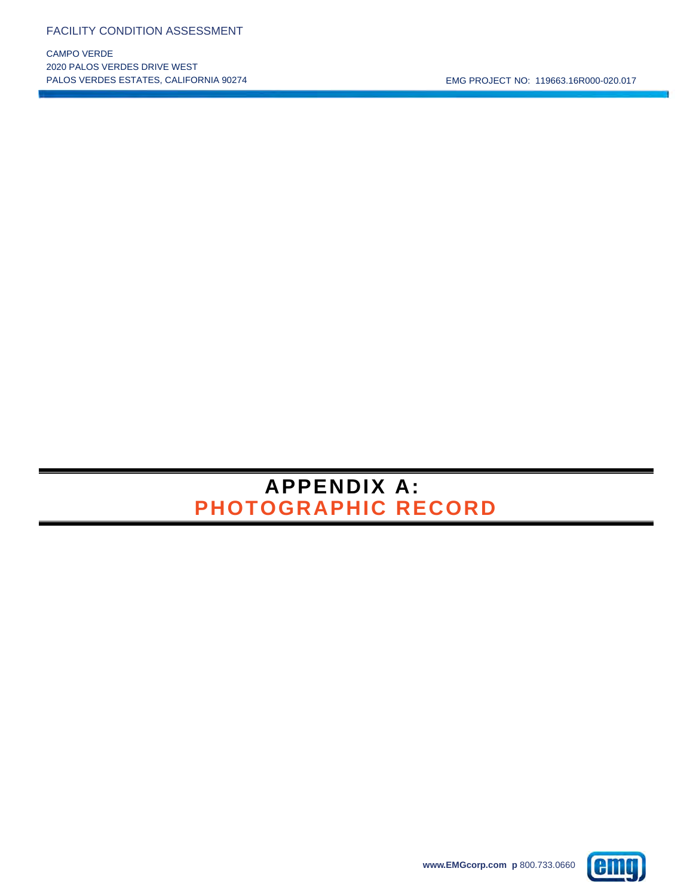CAMPO VERDE 2020 PALOS VERDES DRIVE WEST

# **APPENDIX A: PHOTOGRAPHIC RECORD**

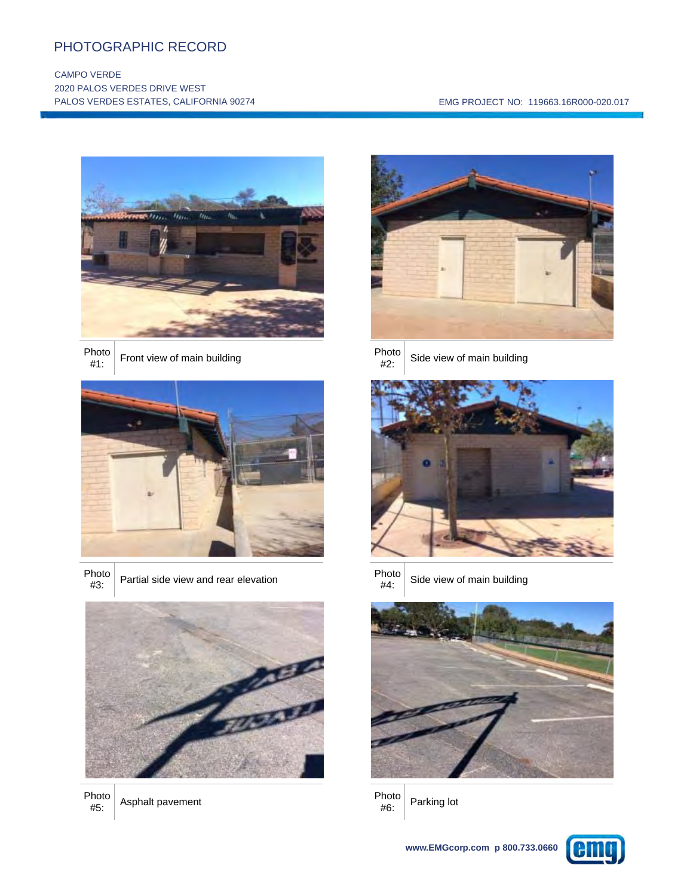## PHOTOGRAPHIC RECORD

j

#### CAMPO VERDE 2020 PALOS VERDES DRIVE WEST PALOS VERDES ESTATES, CALIFORNIA 90274 **EMG PROJECT NO: 119663.16R000-020.017**



Photo<br>#1: Front view of main building example and the Photo



- Photo<br>#3:
- Partial side view and rear elevation Photo<br>#4:



Photo<br>#5: Asphalt pavement<br>
#6:



- 
- Side view of main building





Side view of main building



Parking lot

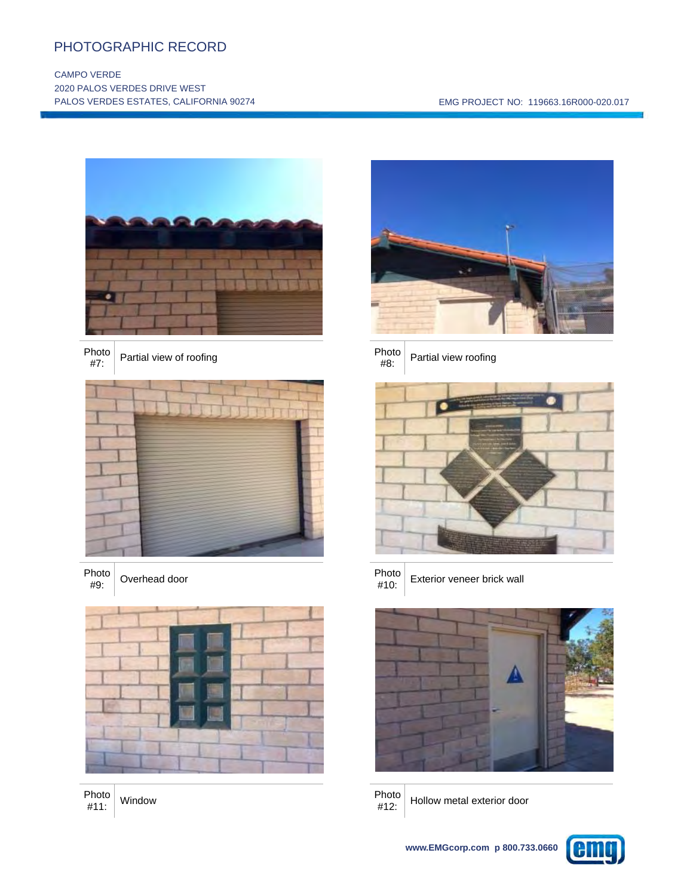## PHOTOGRAPHIC RECORD

j

#### CAMPO VERDE 2020 PALOS VERDES DRIVE WEST PALOS VERDES ESTATES, CALIFORNIA 90274 **EMG PROJECT NO: 119663.16R000-020.017**



Photo<br>#7: Partial view of roofing example and the photo photo  $\#8$ :



Photo<br>#9: extended door and the photo photo and the Photo  $\#10$ :



Photo<br>#11: #11: Window Photo



Partial view roofing





Exterior veneer brick wall





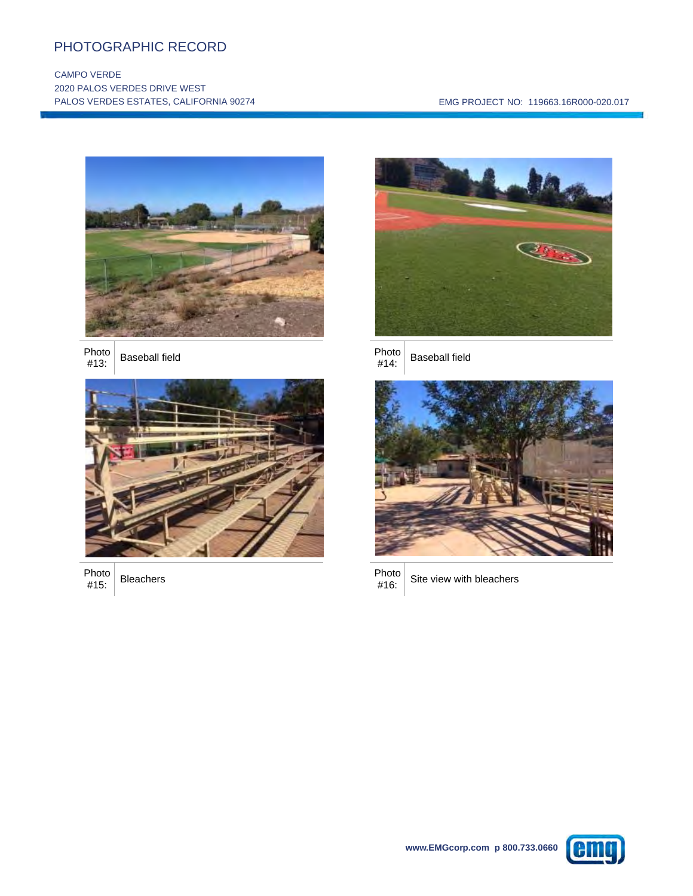## PHOTOGRAPHIC RECORD

j

#### CAMPO VERDE 2020 PALOS VERDES DRIVE WEST PALOS VERDES ESTATES, CALIFORNIA 90274 **EMG PROJECT NO: 119663.16R000-020.017**







Photo<br>#15: Photo Bleachers **Photo**<br>#15: Bleachers #16:



**Baseball field** 





Photo Site view with bleachers

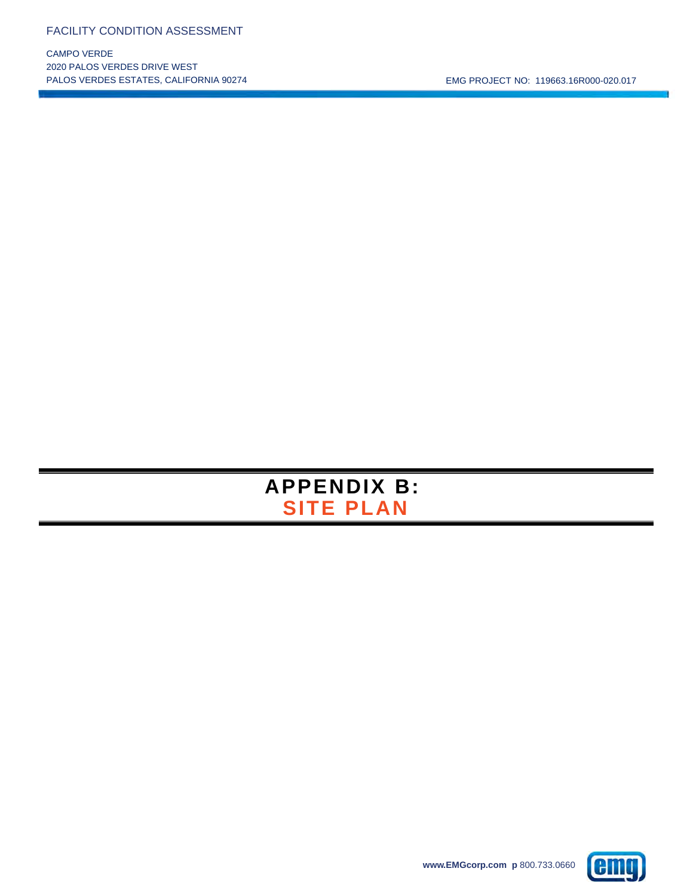CAMPO VERDE 2020 PALOS VERDES DRIVE WEST

PALOS VERDES ESTATES, CALIFORNIA 90274 CHARLET NO: 119663.16R000-020.017



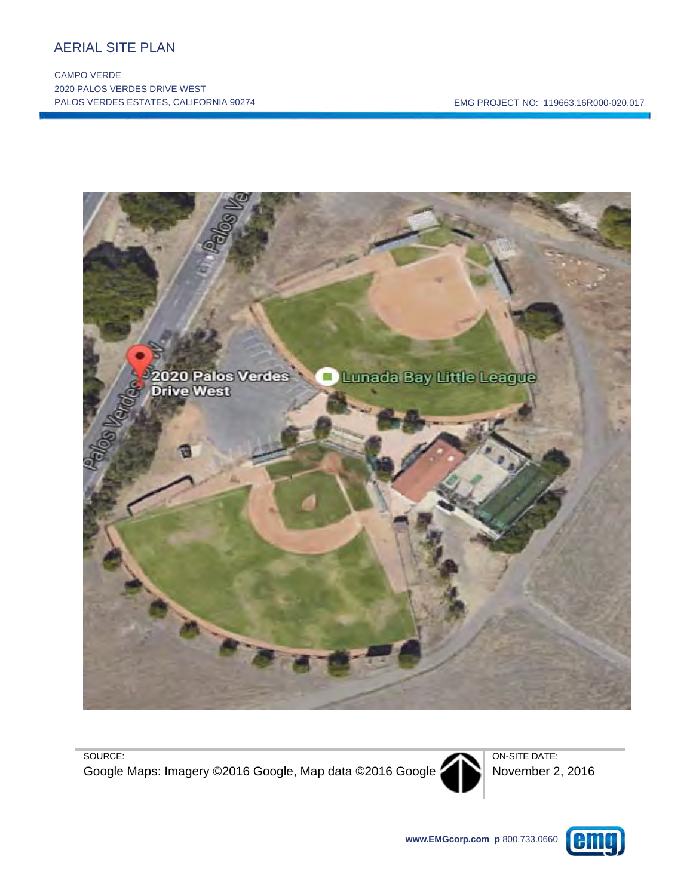## AERIAL SITE PLAN

į

CAMPO VERDE 2020 PALOS VERDES DRIVE WEST PALOS VERDES ESTATES, CALIFORNIA 90274 EMG PROJECT NO: 119663.16R000-020.017



SOURCE:

Google Maps: Imagery ©2016 Google, Map data ©2016 Google



ON-SITE DATE: November 2, 2016

**www.EMGcorp.com p** 800.733.0660

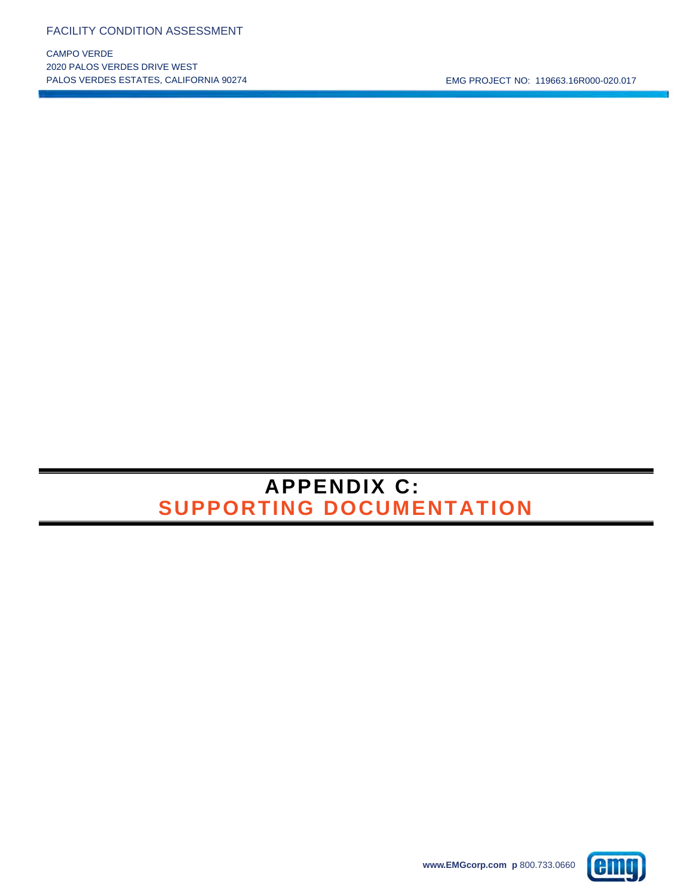CAMPO VERDE 2020 PALOS VERDES DRIVE WEST

# **APPENDIX C: SUPPORTING DOCUMENTATION**

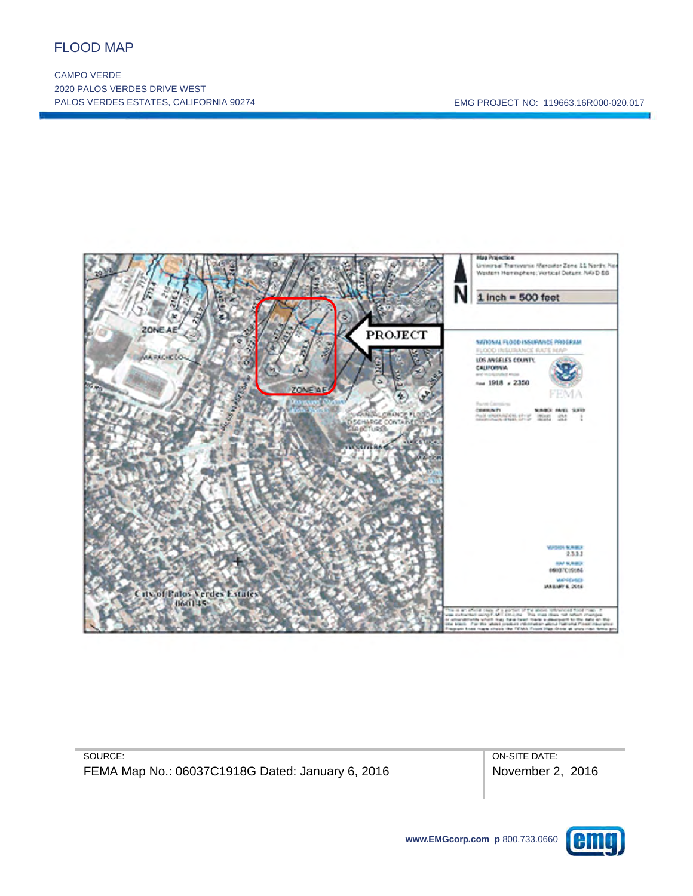## FLOOD MAP

į

CAMPO VERDE 2020 PALOS VERDES DRIVE WEST PALOS VERDES ESTATES, CALIFORNIA 90274 EMG PROJECT NO: 119663.16R000-020.017



SOURCE: FEMA Map No.: 06037C1918G Dated: January 6, 2016 ON-SITE DATE: November 2, 2016

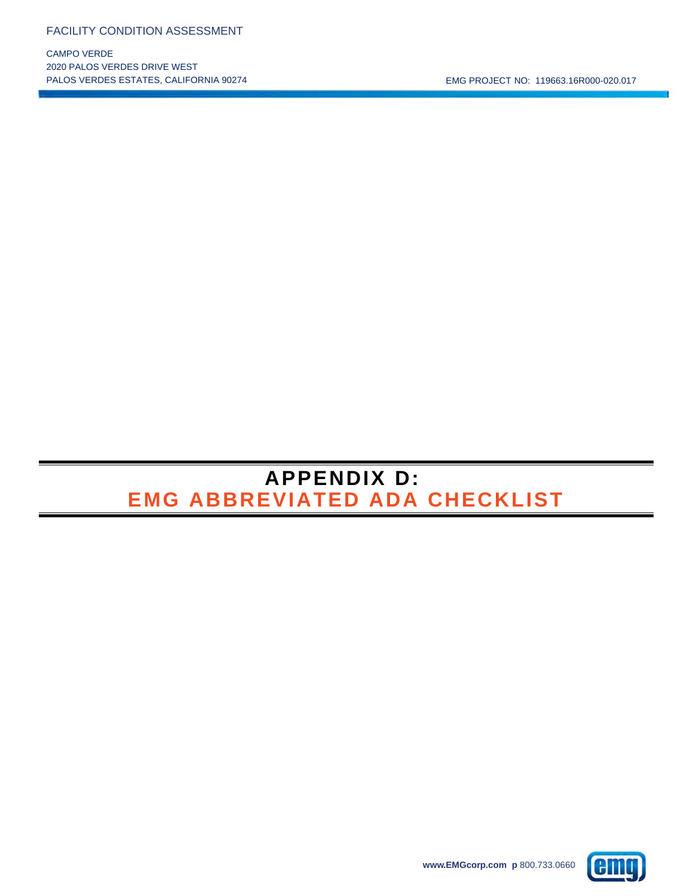CAMPO VERDE 2020 PALOS VERDES DRIVE WEST PALOS VERDES ESTATES, CALIFORNIA 90274 CHARLET NO: 119663.16R000-020.017

# **GIII**

**APPENDIX D:** 

**EMG ABBREVIATED ADA CHECKLIST**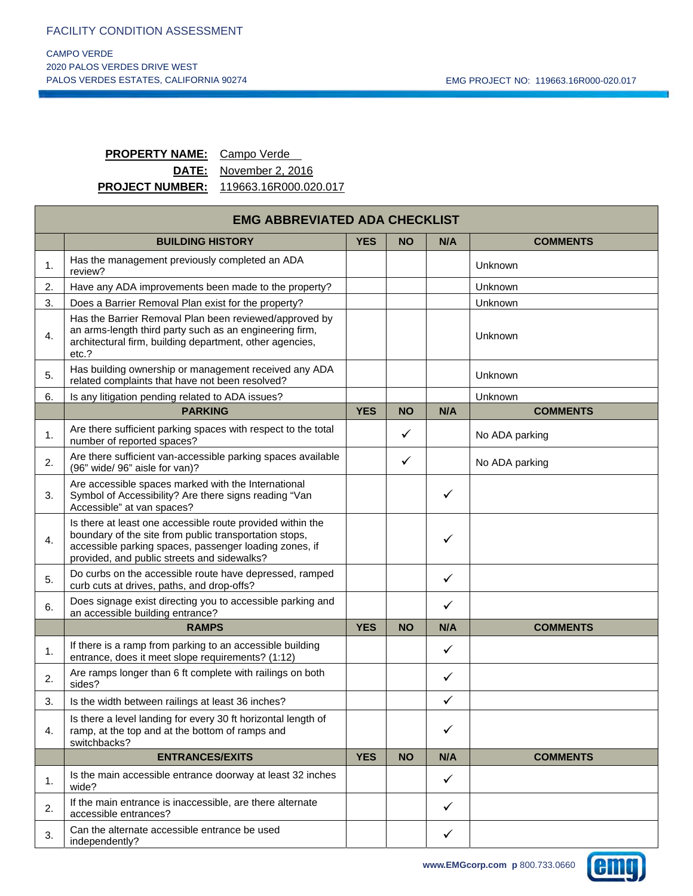## **PROPERTY NAME:** Campo Verde

**DATE:** November 2, 2016 **PROJECT NUMBER:** 119663.16R000.020.017

|                  | <b>EMG ABBREVIATED ADA CHECKLIST</b>                                                                                                                                                                                          |            |           |              |                 |  |
|------------------|-------------------------------------------------------------------------------------------------------------------------------------------------------------------------------------------------------------------------------|------------|-----------|--------------|-----------------|--|
|                  | <b>BUILDING HISTORY</b>                                                                                                                                                                                                       | <b>YES</b> | <b>NO</b> | N/A          | <b>COMMENTS</b> |  |
| 1.               | Has the management previously completed an ADA<br>review?                                                                                                                                                                     |            |           |              | Unknown         |  |
| 2.               | Have any ADA improvements been made to the property?                                                                                                                                                                          |            |           |              | Unknown         |  |
| 3.               | Does a Barrier Removal Plan exist for the property?                                                                                                                                                                           |            |           |              | Unknown         |  |
| 4.               | Has the Barrier Removal Plan been reviewed/approved by<br>an arms-length third party such as an engineering firm,<br>architectural firm, building department, other agencies,<br>etc.?                                        |            |           |              | Unknown         |  |
| 5.               | Has building ownership or management received any ADA<br>related complaints that have not been resolved?                                                                                                                      |            |           |              | Unknown         |  |
| 6.               | Is any litigation pending related to ADA issues?                                                                                                                                                                              |            |           |              | Unknown         |  |
|                  | <b>PARKING</b>                                                                                                                                                                                                                | <b>YES</b> | <b>NO</b> | N/A          | <b>COMMENTS</b> |  |
| 1.               | Are there sufficient parking spaces with respect to the total<br>number of reported spaces?                                                                                                                                   |            | ✓         |              | No ADA parking  |  |
| 2.               | Are there sufficient van-accessible parking spaces available<br>(96" wide/ 96" aisle for van)?                                                                                                                                |            | ✓         |              | No ADA parking  |  |
| 3.               | Are accessible spaces marked with the International<br>Symbol of Accessibility? Are there signs reading "Van<br>Accessible" at van spaces?                                                                                    |            |           | ✓            |                 |  |
| $\overline{4}$ . | Is there at least one accessible route provided within the<br>boundary of the site from public transportation stops,<br>accessible parking spaces, passenger loading zones, if<br>provided, and public streets and sidewalks? |            |           | $\checkmark$ |                 |  |
| 5.               | Do curbs on the accessible route have depressed, ramped<br>curb cuts at drives, paths, and drop-offs?                                                                                                                         |            |           | $\checkmark$ |                 |  |
| 6.               | Does signage exist directing you to accessible parking and<br>an accessible building entrance?                                                                                                                                |            |           | $\checkmark$ |                 |  |
|                  | <b>RAMPS</b>                                                                                                                                                                                                                  | <b>YES</b> | <b>NO</b> | N/A          | <b>COMMENTS</b> |  |
| 1.               | If there is a ramp from parking to an accessible building<br>entrance, does it meet slope requirements? (1:12)                                                                                                                |            |           | $\checkmark$ |                 |  |
| 2.               | Are ramps longer than 6 ft complete with railings on both<br>sides?                                                                                                                                                           |            |           | $\checkmark$ |                 |  |
| 3.               | Is the width between railings at least 36 inches?                                                                                                                                                                             |            |           | $\checkmark$ |                 |  |
| 4.               | Is there a level landing for every 30 ft horizontal length of<br>ramp, at the top and at the bottom of ramps and<br>switchbacks?                                                                                              |            |           | $\checkmark$ |                 |  |
|                  | <b>ENTRANCES/EXITS</b>                                                                                                                                                                                                        | <b>YES</b> | <b>NO</b> | N/A          | <b>COMMENTS</b> |  |
| 1.               | Is the main accessible entrance doorway at least 32 inches<br>wide?                                                                                                                                                           |            |           | $\checkmark$ |                 |  |
| 2.               | If the main entrance is inaccessible, are there alternate<br>accessible entrances?                                                                                                                                            |            |           | $\checkmark$ |                 |  |
| 3.               | Can the alternate accessible entrance be used<br>independently?                                                                                                                                                               |            |           | $\checkmark$ |                 |  |

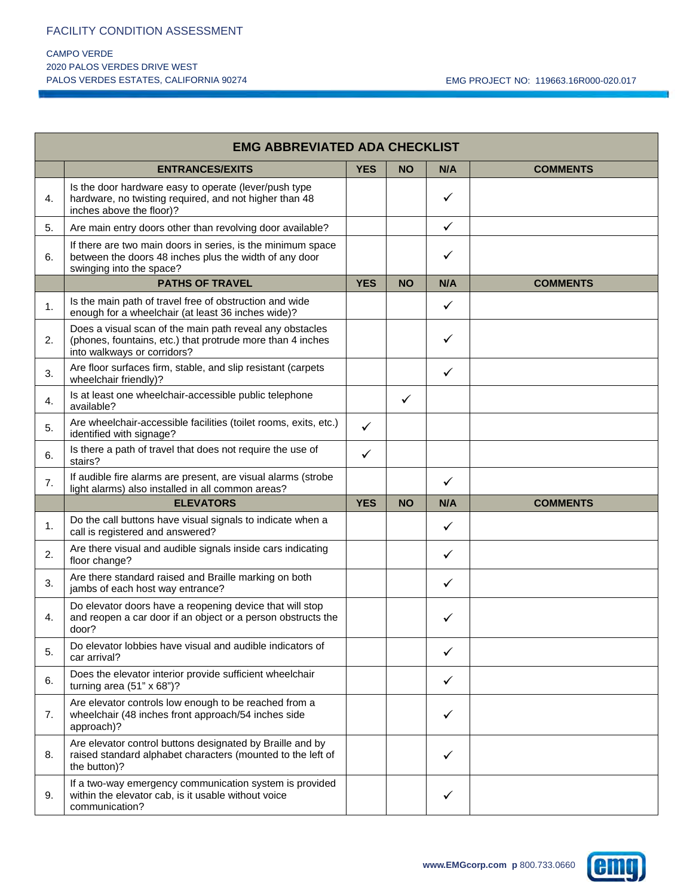## CAMPO VERDE 2020 PALOS VERDES DRIVE WEST

|    | <b>EMG ABBREVIATED ADA CHECKLIST</b>                                                                                                                  |              |              |              |                 |
|----|-------------------------------------------------------------------------------------------------------------------------------------------------------|--------------|--------------|--------------|-----------------|
|    | <b>ENTRANCES/EXITS</b>                                                                                                                                | <b>YES</b>   | <b>NO</b>    | N/A          | <b>COMMENTS</b> |
| 4. | Is the door hardware easy to operate (lever/push type<br>hardware, no twisting required, and not higher than 48<br>inches above the floor)?           |              |              | ✓            |                 |
| 5. | Are main entry doors other than revolving door available?                                                                                             |              |              | $\checkmark$ |                 |
| 6. | If there are two main doors in series, is the minimum space<br>between the doors 48 inches plus the width of any door<br>swinging into the space?     |              |              | ✓            |                 |
|    | <b>PATHS OF TRAVEL</b>                                                                                                                                | <b>YES</b>   | <b>NO</b>    | N/A          | <b>COMMENTS</b> |
| 1. | Is the main path of travel free of obstruction and wide<br>enough for a wheelchair (at least 36 inches wide)?                                         |              |              | ✓            |                 |
| 2. | Does a visual scan of the main path reveal any obstacles<br>(phones, fountains, etc.) that protrude more than 4 inches<br>into walkways or corridors? |              |              | $\checkmark$ |                 |
| 3. | Are floor surfaces firm, stable, and slip resistant (carpets<br>wheelchair friendly)?                                                                 |              |              | ✓            |                 |
| 4. | Is at least one wheelchair-accessible public telephone<br>available?                                                                                  |              | $\checkmark$ |              |                 |
| 5. | Are wheelchair-accessible facilities (toilet rooms, exits, etc.)<br>identified with signage?                                                          | $\checkmark$ |              |              |                 |
| 6. | Is there a path of travel that does not require the use of<br>stairs?                                                                                 | ✓            |              |              |                 |
| 7. | If audible fire alarms are present, are visual alarms (strobe<br>light alarms) also installed in all common areas?                                    |              |              | $\checkmark$ |                 |
|    | <b>ELEVATORS</b>                                                                                                                                      | <b>YES</b>   | <b>NO</b>    | N/A          | <b>COMMENTS</b> |
| 1. | Do the call buttons have visual signals to indicate when a<br>call is registered and answered?                                                        |              |              | ✓            |                 |
| 2. | Are there visual and audible signals inside cars indicating<br>floor change?                                                                          |              |              | $\checkmark$ |                 |
| 3. | Are there standard raised and Braille marking on both<br>jambs of each host way entrance?                                                             |              |              | $\checkmark$ |                 |
| 4. | Do elevator doors have a reopening device that will stop<br>and reopen a car door if an object or a person obstructs the<br>door?                     |              |              | ✓            |                 |
| 5. | Do elevator lobbies have visual and audible indicators of<br>car arrival?                                                                             |              |              | ✓            |                 |
| 6. | Does the elevator interior provide sufficient wheelchair<br>turning area $(51" \times 68")$ ?                                                         |              |              | $\checkmark$ |                 |
| 7. | Are elevator controls low enough to be reached from a<br>wheelchair (48 inches front approach/54 inches side<br>approach)?                            |              |              | $\checkmark$ |                 |
| 8. | Are elevator control buttons designated by Braille and by<br>raised standard alphabet characters (mounted to the left of<br>the button)?              |              |              | $\checkmark$ |                 |
| 9. | If a two-way emergency communication system is provided<br>within the elevator cab, is it usable without voice<br>communication?                      |              |              | ✓            |                 |

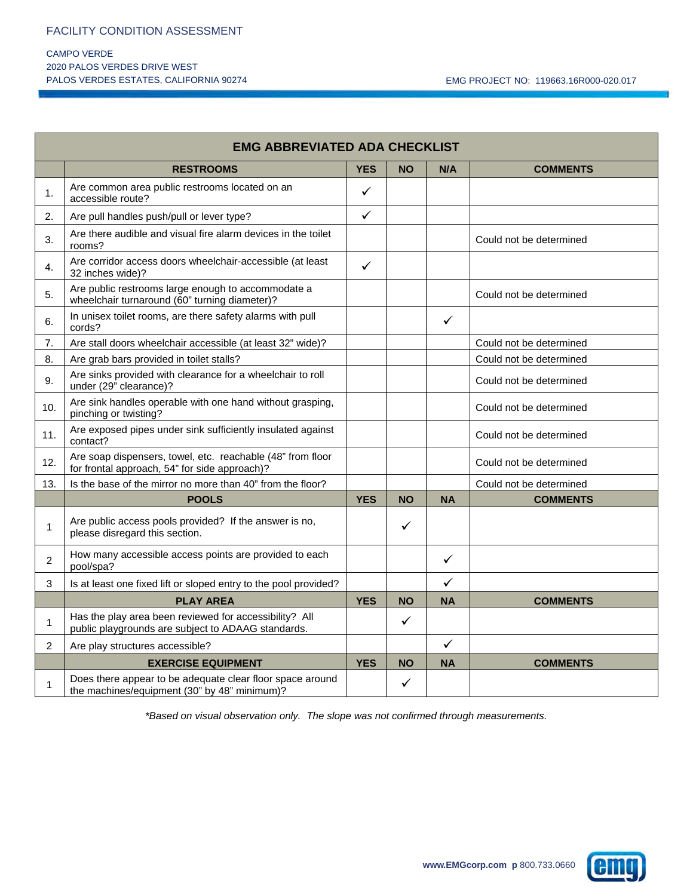#### CAMPO VERDE 2020 PALOS VERDES DRIVE WEST PALOS VERDES ESTATES, CALIFORNIA 90274 CHARLET NO: 119663.16R000-020.017

|                | <b>EMG ABBREVIATED ADA CHECKLIST</b>                                                                         |              |           |              |                         |  |
|----------------|--------------------------------------------------------------------------------------------------------------|--------------|-----------|--------------|-------------------------|--|
|                | <b>RESTROOMS</b>                                                                                             | <b>YES</b>   | <b>NO</b> | N/A          | <b>COMMENTS</b>         |  |
| 1.             | Are common area public restrooms located on an<br>accessible route?                                          | $\checkmark$ |           |              |                         |  |
| 2.             | Are pull handles push/pull or lever type?                                                                    | $\checkmark$ |           |              |                         |  |
| 3.             | Are there audible and visual fire alarm devices in the toilet<br>rooms?                                      |              |           |              | Could not be determined |  |
| 4.             | Are corridor access doors wheelchair-accessible (at least<br>32 inches wide)?                                | $\checkmark$ |           |              |                         |  |
| 5.             | Are public restrooms large enough to accommodate a<br>wheelchair turnaround (60" turning diameter)?          |              |           |              | Could not be determined |  |
| 6.             | In unisex toilet rooms, are there safety alarms with pull<br>cords?                                          |              |           | $\checkmark$ |                         |  |
| 7.             | Are stall doors wheelchair accessible (at least 32" wide)?                                                   |              |           |              | Could not be determined |  |
| 8.             | Are grab bars provided in toilet stalls?                                                                     |              |           |              | Could not be determined |  |
| 9.             | Are sinks provided with clearance for a wheelchair to roll<br>under (29" clearance)?                         |              |           |              | Could not be determined |  |
| 10.            | Are sink handles operable with one hand without grasping,<br>pinching or twisting?                           |              |           |              | Could not be determined |  |
| 11.            | Are exposed pipes under sink sufficiently insulated against<br>contact?                                      |              |           |              | Could not be determined |  |
| 12.            | Are soap dispensers, towel, etc. reachable (48" from floor<br>for frontal approach, 54" for side approach)?  |              |           |              | Could not be determined |  |
| 13.            | Is the base of the mirror no more than 40" from the floor?                                                   |              |           |              | Could not be determined |  |
|                | <b>POOLS</b>                                                                                                 | <b>YES</b>   | <b>NO</b> | <b>NA</b>    | <b>COMMENTS</b>         |  |
| 1              | Are public access pools provided? If the answer is no,<br>please disregard this section.                     |              | ✓         |              |                         |  |
| 2              | How many accessible access points are provided to each<br>pool/spa?                                          |              |           | ✓            |                         |  |
| 3              | Is at least one fixed lift or sloped entry to the pool provided?                                             |              |           | $\checkmark$ |                         |  |
|                | <b>PLAY AREA</b>                                                                                             | <b>YES</b>   | <b>NO</b> | <b>NA</b>    | <b>COMMENTS</b>         |  |
| 1              | Has the play area been reviewed for accessibility? All<br>public playgrounds are subject to ADAAG standards. |              | ✓         |              |                         |  |
| $\overline{2}$ | Are play structures accessible?                                                                              |              |           | $\checkmark$ |                         |  |
|                | <b>EXERCISE EQUIPMENT</b>                                                                                    | <b>YES</b>   | <b>NO</b> | <b>NA</b>    | <b>COMMENTS</b>         |  |
| $\mathbf{1}$   | Does there appear to be adequate clear floor space around<br>the machines/equipment (30" by 48" minimum)?    |              | ✓         |              |                         |  |

*\*Based on visual observation only. The slope was not confirmed through measurements.*

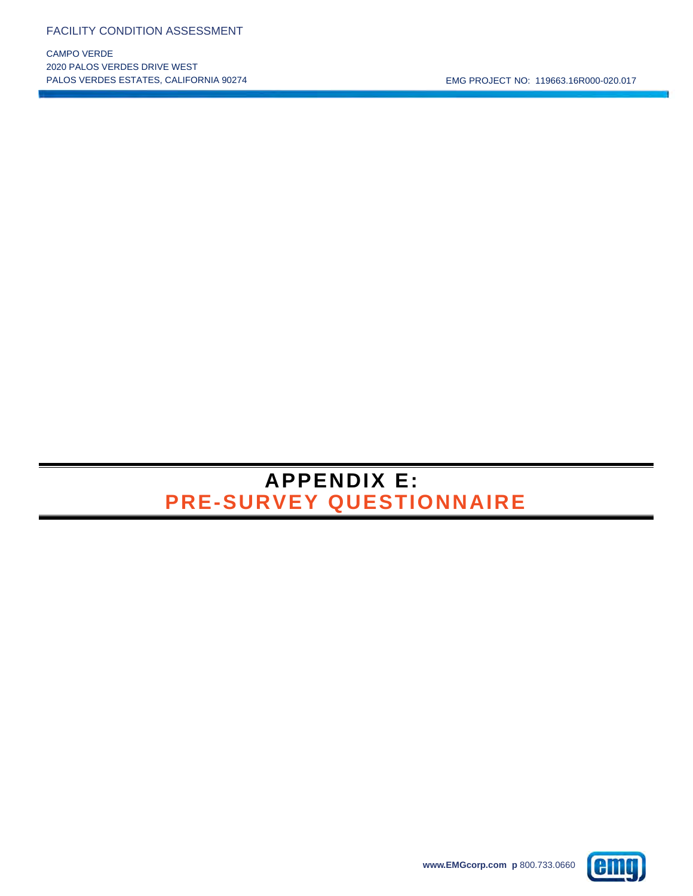CAMPO VERDE 2020 PALOS VERDES DRIVE WEST

## **APPENDIX E: PRE-SURVEY QUESTIONNAIRE**

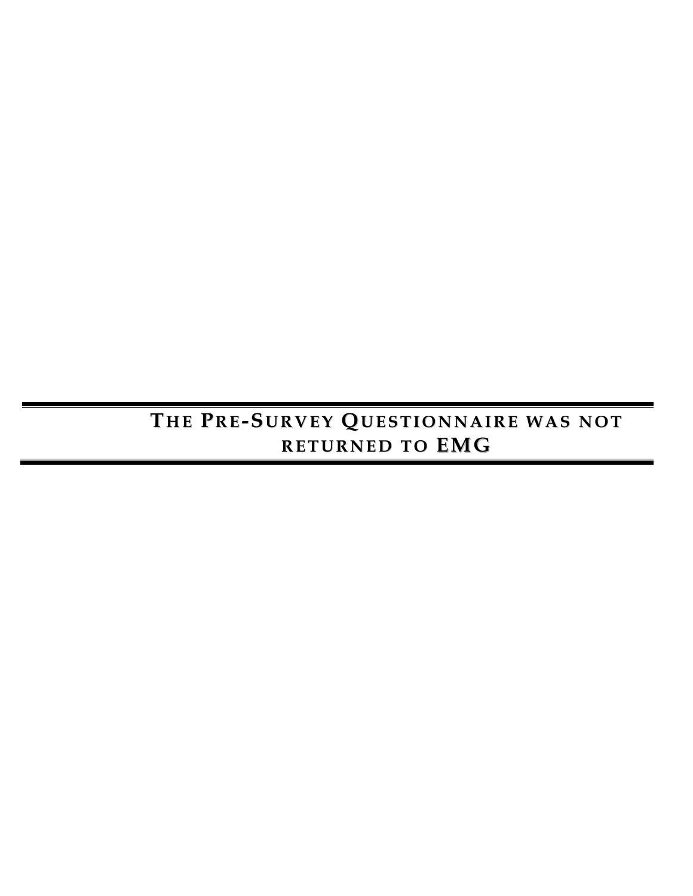# **T HE P RE-S URVE Y Q UES TI ONNAI RE WAS NOT RE TURNE D TO EMG**